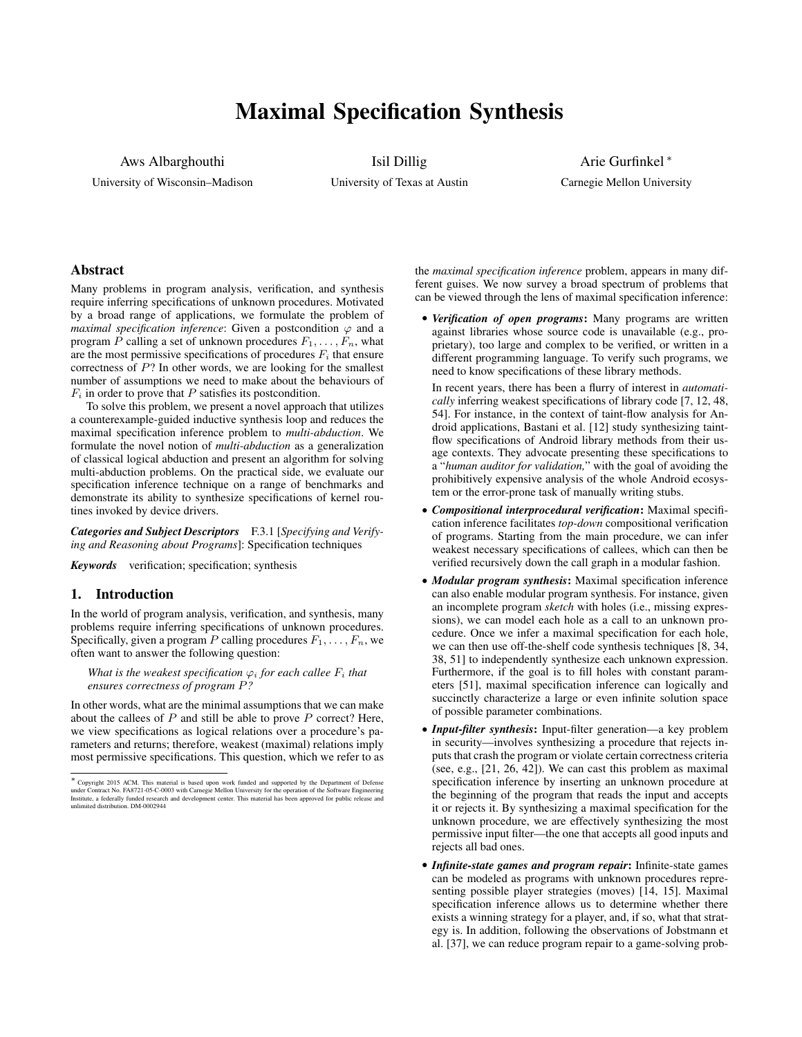# Maximal Specification Synthesis

Aws Albarghouthi University of Wisconsin–Madison Isil Dillig

University of Texas at Austin

Arie Gurfinkel <sup>∗</sup> Carnegie Mellon University

# Abstract

Many problems in program analysis, verification, and synthesis require inferring specifications of unknown procedures. Motivated by a broad range of applications, we formulate the problem of *maximal specification inference*: Given a postcondition  $\varphi$  and a program P calling a set of unknown procedures  $F_1, \ldots, F_n$ , what are the most permissive specifications of procedures  $F_i$  that ensure correctness of P? In other words, we are looking for the smallest number of assumptions we need to make about the behaviours of  $F_i$  in order to prove that P satisfies its postcondition.

To solve this problem, we present a novel approach that utilizes a counterexample-guided inductive synthesis loop and reduces the maximal specification inference problem to *multi-abduction*. We formulate the novel notion of *multi-abduction* as a generalization of classical logical abduction and present an algorithm for solving multi-abduction problems. On the practical side, we evaluate our specification inference technique on a range of benchmarks and demonstrate its ability to synthesize specifications of kernel routines invoked by device drivers.

*Categories and Subject Descriptors* F.3.1 [*Specifying and Verifying and Reasoning about Programs*]: Specification techniques

*Keywords* verification; specification; synthesis

# 1. Introduction

In the world of program analysis, verification, and synthesis, many problems require inferring specifications of unknown procedures. Specifically, given a program P calling procedures  $F_1, \ldots, F_n$ , we often want to answer the following question:

*What is the weakest specification*  $\varphi_i$  *for each callee*  $F_i$  *that ensures correctness of program* P*?*

In other words, what are the minimal assumptions that we can make about the callees of  $P$  and still be able to prove  $P$  correct? Here, we view specifications as logical relations over a procedure's parameters and returns; therefore, weakest (maximal) relations imply most permissive specifications. This question, which we refer to as the *maximal specification inference* problem, appears in many different guises. We now survey a broad spectrum of problems that can be viewed through the lens of maximal specification inference:

• *Verification of open programs*: Many programs are written against libraries whose source code is unavailable (e.g., proprietary), too large and complex to be verified, or written in a different programming language. To verify such programs, we need to know specifications of these library methods.

In recent years, there has been a flurry of interest in *automatically* inferring weakest specifications of library code [7, 12, 48, 54]. For instance, in the context of taint-flow analysis for Android applications, Bastani et al. [12] study synthesizing taintflow specifications of Android library methods from their usage contexts. They advocate presenting these specifications to a "*human auditor for validation,*" with the goal of avoiding the prohibitively expensive analysis of the whole Android ecosystem or the error-prone task of manually writing stubs.

- *Compositional interprocedural verification*: Maximal specification inference facilitates *top-down* compositional verification of programs. Starting from the main procedure, we can infer weakest necessary specifications of callees, which can then be verified recursively down the call graph in a modular fashion.
- *Modular program synthesis*: Maximal specification inference can also enable modular program synthesis. For instance, given an incomplete program *sketch* with holes (i.e., missing expressions), we can model each hole as a call to an unknown procedure. Once we infer a maximal specification for each hole, we can then use off-the-shelf code synthesis techniques [8, 34, 38, 51] to independently synthesize each unknown expression. Furthermore, if the goal is to fill holes with constant parameters [51], maximal specification inference can logically and succinctly characterize a large or even infinite solution space of possible parameter combinations.
- *Input-filter synthesis*: Input-filter generation—a key problem in security—involves synthesizing a procedure that rejects inputs that crash the program or violate certain correctness criteria (see, e.g., [21, 26, 42]). We can cast this problem as maximal specification inference by inserting an unknown procedure at the beginning of the program that reads the input and accepts it or rejects it. By synthesizing a maximal specification for the unknown procedure, we are effectively synthesizing the most permissive input filter—the one that accepts all good inputs and rejects all bad ones.
- *Infinite-state games and program repair*: Infinite-state games can be modeled as programs with unknown procedures representing possible player strategies (moves) [14, 15]. Maximal specification inference allows us to determine whether there exists a winning strategy for a player, and, if so, what that strategy is. In addition, following the observations of Jobstmann et al. [37], we can reduce program repair to a game-solving prob-

<sup>∗</sup> Copyright 2015 ACM. This material is based upon work funded and supported by the Department of Defense under Contract No. FA8721-05-C-0003 with Carnegie Mellon University for the operation of the Software Engineering<br>Institute, a federally funded research and development center. This material has been approved for public re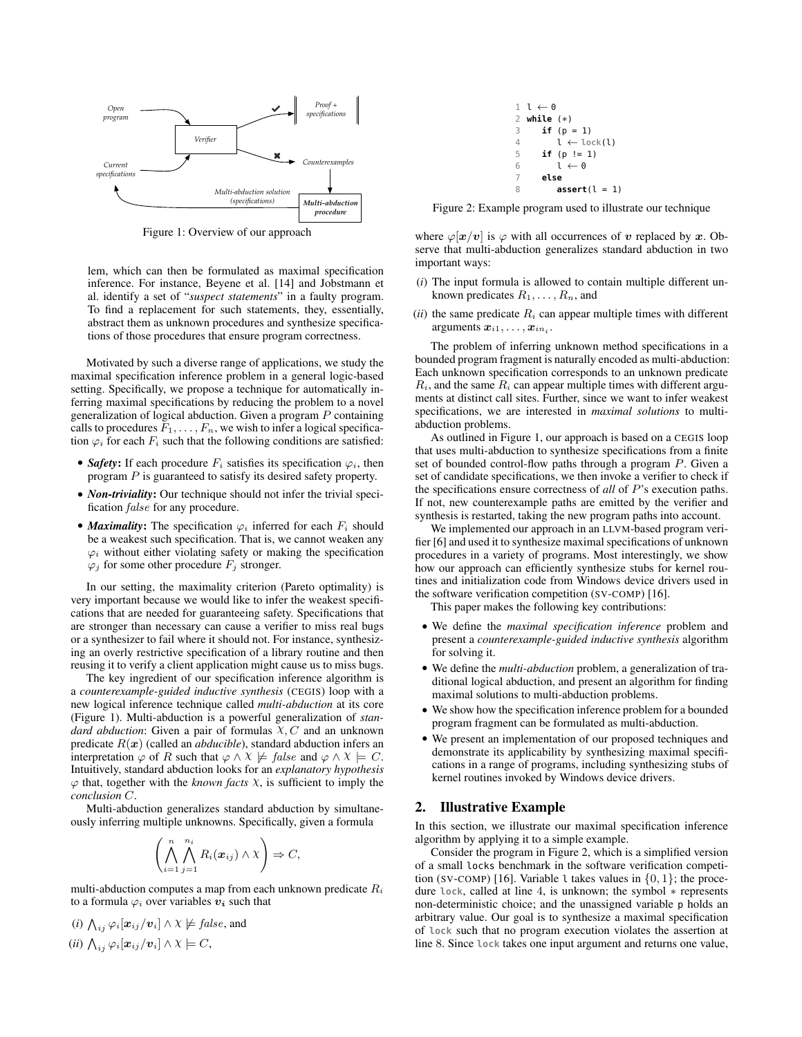

Figure 1: Overview of our approach

lem, which can then be formulated as maximal specification inference. For instance, Beyene et al. [14] and Jobstmann et al. identify a set of "*suspect statements*" in a faulty program. To find a replacement for such statements, they, essentially, abstract them as unknown procedures and synthesize specifications of those procedures that ensure program correctness.

Motivated by such a diverse range of applications, we study the maximal specification inference problem in a general logic-based setting. Specifically, we propose a technique for automatically inferring maximal specifications by reducing the problem to a novel generalization of logical abduction. Given a program P containing calls to procedures  $F_1, \ldots, F_n$ , we wish to infer a logical specification  $\varphi_i$  for each  $F_i$  such that the following conditions are satisfied:

- *Safety*: If each procedure  $F_i$  satisfies its specification  $\varphi_i$ , then program P is guaranteed to satisfy its desired safety property.
- *Non-triviality*: Our technique should not infer the trivial specification false for any procedure.
- *Maximality*: The specification  $\varphi_i$  inferred for each  $F_i$  should be a weakest such specification. That is, we cannot weaken any  $\varphi_i$  without either violating safety or making the specification  $\varphi_i$  for some other procedure  $F_i$  stronger.

In our setting, the maximality criterion (Pareto optimality) is very important because we would like to infer the weakest specifications that are needed for guaranteeing safety. Specifications that are stronger than necessary can cause a verifier to miss real bugs or a synthesizer to fail where it should not. For instance, synthesizing an overly restrictive specification of a library routine and then reusing it to verify a client application might cause us to miss bugs.

The key ingredient of our specification inference algorithm is a *counterexample-guided inductive synthesis* (CEGIS) loop with a new logical inference technique called *multi-abduction* at its core (Figure 1). Multi-abduction is a powerful generalization of *standard abduction*: Given a pair of formulas  $X, C$  and an unknown predicate  $R(x)$  (called an *abducible*), standard abduction infers an interpretation  $\varphi$  of R such that  $\varphi \wedge X \not\models \text{false}$  and  $\varphi \wedge X \models C$ . Intuitively, standard abduction looks for an *explanatory hypothesis*  $\varphi$  that, together with the *known facts*  $\chi$ , is sufficient to imply the *conclusion* C.

Multi-abduction generalizes standard abduction by simultaneously inferring multiple unknowns. Specifically, given a formula

$$
\left(\bigwedge_{i=1}^n\bigwedge_{j=1}^{n_i}R_i(\boldsymbol{x}_{ij})\wedge\chi\right)\Rightarrow C,
$$

multi-abduction computes a map from each unknown predicate  $R_i$ to a formula  $\varphi_i$  over variables  $v_i$  such that

(i) 
$$
\bigwedge_{ij} \varphi_i[\mathbf{x}_{ij}/\mathbf{v}_i] \land \chi \not\models false
$$
, and  
(ii)  $\bigwedge_{ij} \varphi_i[\mathbf{x}_{ij}/\mathbf{v}_i] \land \chi \models C$ ,

$$
1 \t \leftarrow 0\n2 \text{ while } (*)\n3 \text{ if } (p = 1)\n4 \t 1 \leftarrow \text{lock}(1)\n5 \text{ if } (p != 1)\n6 \t 1 \leftarrow 0\n7 \text{ else}\n8 \text{ assert}(1 = 1)
$$

Figure 2: Example program used to illustrate our technique

where  $\varphi[\mathbf{x}/\mathbf{v}]$  is  $\varphi$  with all occurrences of v replaced by x. Observe that multi-abduction generalizes standard abduction in two important ways:

- (*i*) The input formula is allowed to contain multiple different unknown predicates  $R_1, \ldots, R_n$ , and
- $(ii)$  the same predicate  $R_i$  can appear multiple times with different arguments  $x_{i1}, \ldots, x_{in_i}$ .

The problem of inferring unknown method specifications in a bounded program fragment is naturally encoded as multi-abduction: Each unknown specification corresponds to an unknown predicate  $R_i$ , and the same  $R_i$  can appear multiple times with different arguments at distinct call sites. Further, since we want to infer weakest specifications, we are interested in *maximal solutions* to multiabduction problems.

As outlined in Figure 1, our approach is based on a CEGIS loop that uses multi-abduction to synthesize specifications from a finite set of bounded control-flow paths through a program P. Given a set of candidate specifications, we then invoke a verifier to check if the specifications ensure correctness of *all* of P's execution paths. If not, new counterexample paths are emitted by the verifier and synthesis is restarted, taking the new program paths into account.

We implemented our approach in an LLVM-based program verifier [6] and used it to synthesize maximal specifications of unknown procedures in a variety of programs. Most interestingly, we show how our approach can efficiently synthesize stubs for kernel routines and initialization code from Windows device drivers used in the software verification competition (SV-COMP) [16].

This paper makes the following key contributions:

- We define the *maximal specification inference* problem and present a *counterexample-guided inductive synthesis* algorithm for solving it.
- We define the *multi-abduction* problem, a generalization of traditional logical abduction, and present an algorithm for finding maximal solutions to multi-abduction problems.
- We show how the specification inference problem for a bounded program fragment can be formulated as multi-abduction.
- We present an implementation of our proposed techniques and demonstrate its applicability by synthesizing maximal specifications in a range of programs, including synthesizing stubs of kernel routines invoked by Windows device drivers.

# 2. Illustrative Example

In this section, we illustrate our maximal specification inference algorithm by applying it to a simple example.

Consider the program in Figure 2, which is a simplified version of a small locks benchmark in the software verification competition (SV-COMP) [16]. Variable 1 takes values in  $\{0, 1\}$ ; the procedure **lock**, called at line 4, is unknown; the symbol ∗ represents non-deterministic choice; and the unassigned variable p holds an arbitrary value. Our goal is to synthesize a maximal specification of **lock** such that no program execution violates the assertion at line 8. Since **lock** takes one input argument and returns one value,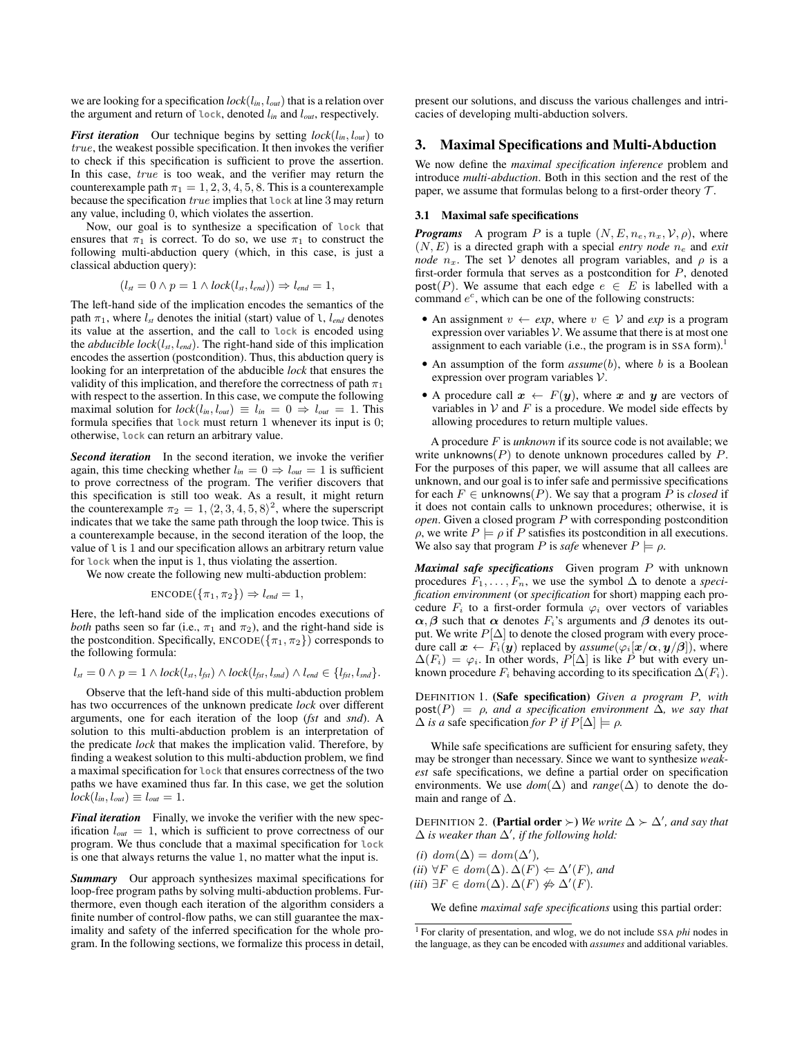we are looking for a specification  $lock(l_{in}, l_{out})$  that is a relation over the argument and return of **lock**, denoted l*in* and l*out*, respectively.

*First iteration* Our technique begins by setting *lock*(l*in*, l*out*) to true, the weakest possible specification. It then invokes the verifier to check if this specification is sufficient to prove the assertion. In this case, true is too weak, and the verifier may return the counterexample path  $\pi_1 = 1, 2, 3, 4, 5, 8$ . This is a counterexample because the specification true implies that **lock** at line 3 may return any value, including 0, which violates the assertion.

Now, our goal is to synthesize a specification of **lock** that ensures that  $\pi_1$  is correct. To do so, we use  $\pi_1$  to construct the following multi-abduction query (which, in this case, is just a classical abduction query):

$$
(l_{st} = 0 \land p = 1 \land lock(l_{st}, l_{end})) \Rightarrow l_{end} = 1,
$$

The left-hand side of the implication encodes the semantics of the path  $\pi_1$ , where  $l_{st}$  denotes the initial (start) value of l,  $l_{end}$  denotes its value at the assertion, and the call to **lock** is encoded using the *abducible lock*(l*st*, l*end*). The right-hand side of this implication encodes the assertion (postcondition). Thus, this abduction query is looking for an interpretation of the abducible *lock* that ensures the validity of this implication, and therefore the correctness of path  $\pi_1$ with respect to the assertion. In this case, we compute the following maximal solution for  $lock(l_{in}, l_{out}) \equiv l_{in} = 0 \Rightarrow l_{out} = 1$ . This formula specifies that **lock** must return 1 whenever its input is 0; otherwise, **lock** can return an arbitrary value.

*Second iteration* In the second iteration, we invoke the verifier again, this time checking whether  $l_{in} = 0 \Rightarrow l_{out} = 1$  is sufficient to prove correctness of the program. The verifier discovers that this specification is still too weak. As a result, it might return the counterexample  $\pi_2 = 1, \langle 2, 3, 4, 5, 8 \rangle^2$ , where the superscript indicates that we take the same path through the loop twice. This is a counterexample because, in the second iteration of the loop, the value of l is 1 and our specification allows an arbitrary return value for **lock** when the input is 1, thus violating the assertion.

We now create the following new multi-abduction problem:

$$
ENCODE({\pi_1, \pi_2}) \Rightarrow l_{end} = 1,
$$

Here, the left-hand side of the implication encodes executions of *both* paths seen so far (i.e.,  $\pi_1$  and  $\pi_2$ ), and the right-hand side is the postcondition. Specifically,  $ENCODE({\pi_1, \pi_2})$  corresponds to the following formula:

$$
l_{st} = 0 \land p = 1 \land lock(l_{st}, l_{fst}) \land lock(l_{fst}, l_{snd}) \land l_{end} \in \{l_{fst}, l_{snd}\}.
$$

Observe that the left-hand side of this multi-abduction problem has two occurrences of the unknown predicate *lock* over different arguments, one for each iteration of the loop (*fst* and *snd*). A solution to this multi-abduction problem is an interpretation of the predicate *lock* that makes the implication valid. Therefore, by finding a weakest solution to this multi-abduction problem, we find a maximal specification for **lock** that ensures correctness of the two paths we have examined thus far. In this case, we get the solution  $lock(l_{in}, l_{out}) \equiv l_{out} = 1.$ 

*Final iteration* Finally, we invoke the verifier with the new specification l*out* = 1, which is sufficient to prove correctness of our program. We thus conclude that a maximal specification for **lock** is one that always returns the value 1, no matter what the input is.

*Summary* Our approach synthesizes maximal specifications for loop-free program paths by solving multi-abduction problems. Furthermore, even though each iteration of the algorithm considers a finite number of control-flow paths, we can still guarantee the maximality and safety of the inferred specification for the whole program. In the following sections, we formalize this process in detail, present our solutions, and discuss the various challenges and intricacies of developing multi-abduction solvers.

#### 3. Maximal Specifications and Multi-Abduction

We now define the *maximal specification inference* problem and introduce *multi-abduction*. Both in this section and the rest of the paper, we assume that formulas belong to a first-order theory  $\mathcal{T}$ .

# 3.1 Maximal safe specifications

*Programs* A program P is a tuple  $(N, E, n_e, n_x, \mathcal{V}, \rho)$ , where  $(N, E)$  is a directed graph with a special *entry node*  $n_e$  and *exit node*  $n_x$ . The set V denotes all program variables, and  $\rho$  is a first-order formula that serves as a postcondition for P, denoted post(P). We assume that each edge  $e \in E$  is labelled with a command  $e^c$ , which can be one of the following constructs:

- An assignment  $v \leftarrow exp$ , where  $v \in V$  and  $exp$  is a program expression over variables  $V$ . We assume that there is at most one assignment to each variable (i.e., the program is in SSA form).<sup>1</sup>
- An assumption of the form  $assume(b)$ , where b is a Boolean expression over program variables V.
- A procedure call  $x \leftarrow F(y)$ , where x and y are vectors of variables in  $V$  and  $F$  is a procedure. We model side effects by allowing procedures to return multiple values.

A procedure F is *unknown* if its source code is not available; we write unknowns $(P)$  to denote unknown procedures called by  $P$ . For the purposes of this paper, we will assume that all callees are unknown, and our goal is to infer safe and permissive specifications for each  $F \in$  unknowns(P). We say that a program P is *closed* if it does not contain calls to unknown procedures; otherwise, it is *open*. Given a closed program P with corresponding postcondition  $ρ$ , we write  $P \models ρ$  if P satisfies its postcondition in all executions. We also say that program P is *safe* whenever  $P \models \rho$ .

*Maximal safe specifications* Given program P with unknown procedures  $F_1, \ldots, F_n$ , we use the symbol  $\Delta$  to denote a *specification environment* (or *specification* for short) mapping each procedure  $F_i$  to a first-order formula  $\varphi_i$  over vectors of variables  $\alpha$ ,  $\beta$  such that  $\alpha$  denotes  $F_i$ 's arguments and  $\beta$  denotes its output. We write  $P[\Delta]$  to denote the closed program with every procedure call  $\mathbf{x} \leftarrow F_i(\mathbf{y})$  replaced by  $\text{assume}(\varphi_i[\mathbf{x}/\alpha, \mathbf{y}/\beta])$ , where  $\Delta(F_i) = \varphi_i$ . In other words,  $P[\Delta]$  is like P but with every unknown procedure  $F_i$  behaving according to its specification  $\Delta(F_i)$ .

DEFINITION 1. (Safe specification) *Given a program* P*, with*  $post(P) = \rho$ *, and a specification environment*  $\Delta$ *, we say that*  $\Delta$  *is a* safe specification *for*  $P$  *if*  $P[\Delta] \models \rho$ .

While safe specifications are sufficient for ensuring safety, they may be stronger than necessary. Since we want to synthesize *weakest* safe specifications, we define a partial order on specification environments. We use  $dom(\Delta)$  and  $range(\Delta)$  to denote the domain and range of  $\Delta$ .

DEFINITION 2. (**Partial order**  $\succ$ ) *We write*  $\Delta \succ \Delta'$ *, and say that*  $\Delta$  *is weaker than*  $\Delta'$ *, if the following hold:* 

 $(i) dom(\Delta) = dom(\Delta'),$  $(ii) \forall F \in dom(\Delta) \cdot \Delta(F) \Leftarrow \Delta'(F)$ *, and*  $(iii) \exists F \in dom(\Delta) \cdot \Delta(F) \nleftrightarrow \Delta'(F)$ .

We define *maximal safe specifications* using this partial order:

<sup>1</sup> For clarity of presentation, and wlog, we do not include SSA *phi* nodes in the language, as they can be encoded with *assumes* and additional variables.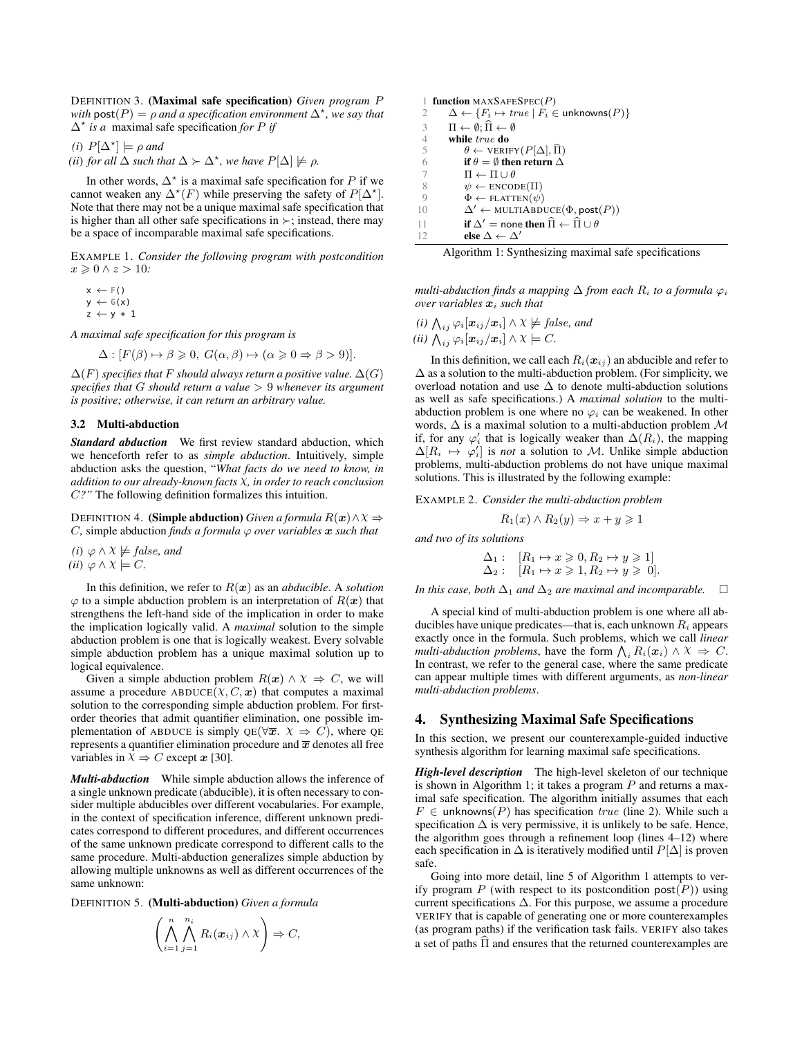DEFINITION 3. (Maximal safe specification) *Given program* P with  $\text{post}(P) = \rho$  and a specification environment  $\Delta^*$ , we say that ∆? *is a* maximal safe specification *for* P *if*

*(i)*  $P[∆^*] \models \rho$  *and* 

*(ii) for all*  $\Delta$  *such that*  $\Delta \succ \Delta^*$ *, we have*  $P[\Delta] \not\models \rho$ *.* 

In other words,  $\Delta^*$  is a maximal safe specification for P if we cannot weaken any  $\Delta^*(F)$  while preserving the safety of  $P[\Delta^*]$ . Note that there may not be a unique maximal safe specification that is higher than all other safe specifications in  $\succ$ ; instead, there may be a space of incomparable maximal safe specifications.

EXAMPLE 1. *Consider the following program with postcondition*  $x \geqslant 0 \wedge z > 10$ :

 $x \leftarrow F()$  $y \leftarrow \mathbb{G}(x)$  $z \leftarrow y + 1$ 

*A maximal safe specification for this program is*

$$
\Delta : [F(\beta) \mapsto \beta \geq 0, G(\alpha, \beta) \mapsto (\alpha \geq 0 \Rightarrow \beta > 9)].
$$

 $\Delta(F)$  *specifies that* F *should always return a positive value.*  $\Delta(G)$ *specifies that* G *should return a value* > 9 *whenever its argument is positive; otherwise, it can return an arbitrary value.*

#### 3.2 Multi-abduction

*Standard abduction* We first review standard abduction, which we henceforth refer to as *simple abduction*. Intuitively, simple abduction asks the question, "*What facts do we need to know, in addition to our already-known facts* χ*, in order to reach conclusion* C*?"* The following definition formalizes this intuition.

**DEFINITION 4.** (**Simple abduction**) *Given a formula*  $R(x) \wedge \chi \Rightarrow$ *C*, simple abduction *finds* a *formula*  $\varphi$  *over variables*  $\boldsymbol{x}$  *such that* 

*(i)*  $\varphi \wedge \chi \neq false$ *, and*  $(ii) \varphi \wedge \chi \models C.$ 

In this definition, we refer to  $R(x)$  as an *abducible*. A *solution*  $\varphi$  to a simple abduction problem is an interpretation of  $R(x)$  that strengthens the left-hand side of the implication in order to make the implication logically valid. A *maximal* solution to the simple abduction problem is one that is logically weakest. Every solvable simple abduction problem has a unique maximal solution up to logical equivalence.

Given a simple abduction problem  $R(x) \wedge \chi \Rightarrow C$ , we will assume a procedure  $ABDUCE(X, C, x)$  that computes a maximal solution to the corresponding simple abduction problem. For firstorder theories that admit quantifier elimination, one possible implementation of ABDUCE is simply QE( $\forall \overline{x}$ .  $\chi \Rightarrow C$ ), where QE represents a quantifier elimination procedure and  $\overline{x}$  denotes all free variables in  $\chi \Rightarrow C$  except  $x$  [30].

*Multi-abduction* While simple abduction allows the inference of a single unknown predicate (abducible), it is often necessary to consider multiple abducibles over different vocabularies. For example, in the context of specification inference, different unknown predicates correspond to different procedures, and different occurrences of the same unknown predicate correspond to different calls to the same procedure. Multi-abduction generalizes simple abduction by allowing multiple unknowns as well as different occurrences of the same unknown:

DEFINITION 5. (Multi-abduction) *Given a formula*

$$
\left(\bigwedge_{i=1}^n\bigwedge_{j=1}^{n_i}R_i(\boldsymbol{x}_{ij})\wedge\chi\right)\Rightarrow C,
$$

1 function  $MAXSAFESpec(P)$ 2  $\Delta \leftarrow \{F_i \mapsto true \mid F_i \in \text{unknowns}(P)\}$ 3  $\Pi \leftarrow \emptyset; \widehat{\Pi} \leftarrow \emptyset$ <br>4 while *true* do 4 while  $true$  do<br>5  $\theta \leftarrow \text{VERIF}$ 5  $\theta \leftarrow \text{VERIFY}(P[\Delta], \widehat{\Pi})$ <br>6 **if**  $\theta = \emptyset$  **then return**  $\Delta$ 6 if  $\theta = \emptyset$  then return  $\Delta$ <br>7  $\Pi \leftarrow \Pi \cup \theta$ 7  $\Pi \leftarrow \Pi \cup \theta$ <br>8  $\psi \leftarrow \text{ENCOI}$ 8  $\psi \leftarrow \text{ENCODE}(\Pi)$ <br>9  $\Phi \leftarrow \text{FI ATTEN}(\psi)$  $\Phi \leftarrow \text{FLATTEN}(\psi)$ 10  $\Delta'$  ← MULTIABDUCE( $\Phi$ , post( $P$ )) 11 if  $\Delta' =$  none then  $\hat{\Pi} \leftarrow \hat{\Pi} \cup \theta$ <br>
12 else  $\Delta \leftarrow \Delta'$ else $\Delta \leftarrow \Delta'$ 

|  | Algorithm 1: Synthesizing maximal safe specifications |
|--|-------------------------------------------------------|
|  |                                                       |

*multi-abduction finds a mapping*  $\Delta$  *from each*  $R_i$  *to a formula*  $\varphi_i$  $over variables$   $x_i$  *such that* 

(i) 
$$
\bigwedge_{ij} \varphi_i[\boldsymbol{x}_{ij}/\boldsymbol{x}_i] \wedge \chi \not\models false
$$
, and  
(ii)  $\bigwedge_{ij} \varphi_i[\boldsymbol{x}_{ij}/\boldsymbol{x}_i] \wedge \chi \models C$ .

In this definition, we call each  $R_i(x_{ij})$  an abducible and refer to  $\Delta$  as a solution to the multi-abduction problem. (For simplicity, we overload notation and use ∆ to denote multi-abduction solutions as well as safe specifications.) A *maximal solution* to the multiabduction problem is one where no  $\varphi_i$  can be weakened. In other words,  $\Delta$  is a maximal solution to a multi-abduction problem M if, for any  $\varphi'_i$  that is logically weaker than  $\Delta(R_i)$ , the mapping  $\Delta[R_i \mapsto \varphi'_i]$  is *not* a solution to M. Unlike simple abduction problems, multi-abduction problems do not have unique maximal solutions. This is illustrated by the following example:

EXAMPLE 2. *Consider the multi-abduction problem*

$$
R_1(x) \land R_2(y) \Rightarrow x + y \geq 1
$$

*and two of its solutions*

$$
\Delta_1: [R_1 \mapsto x \geqslant 0, R_2 \mapsto y \geqslant 1] \Delta_2: [R_1 \mapsto x \geqslant 1, R_2 \mapsto y \geqslant 0].
$$

*In this case, both*  $\Delta_1$  *and*  $\Delta_2$  *are maximal and incomparable.*  $\Box$ 

A special kind of multi-abduction problem is one where all abducibles have unique predicates—that is, each unknown  $R_i$  appears exactly once in the formula. Such problems, which we call *linear multi-abduction problems*, have the form  $\bigwedge_i R_i(\boldsymbol{x}_i) \wedge \boldsymbol{X} \Rightarrow C$ . In contrast, we refer to the general case, where the same predicate can appear multiple times with different arguments, as *non-linear multi-abduction problems*.

# 4. Synthesizing Maximal Safe Specifications

In this section, we present our counterexample-guided inductive synthesis algorithm for learning maximal safe specifications.

*High-level description* The high-level skeleton of our technique is shown in Algorithm 1; it takes a program  $P$  and returns a maximal safe specification. The algorithm initially assumes that each  $F \in$  unknowns(P) has specification true (line 2). While such a specification  $\Delta$  is very permissive, it is unlikely to be safe. Hence, the algorithm goes through a refinement loop (lines 4–12) where each specification in  $\Delta$  is iteratively modified until  $P[\Delta]$  is proven safe.

Going into more detail, line 5 of Algorithm 1 attempts to verify program P (with respect to its postcondition  $post(P)$ ) using current specifications  $\Delta$ . For this purpose, we assume a procedure VERIFY that is capable of generating one or more counterexamples (as program paths) if the verification task fails. VERIFY also takes a set of paths  $\hat{\Pi}$  and ensures that the returned counterexamples are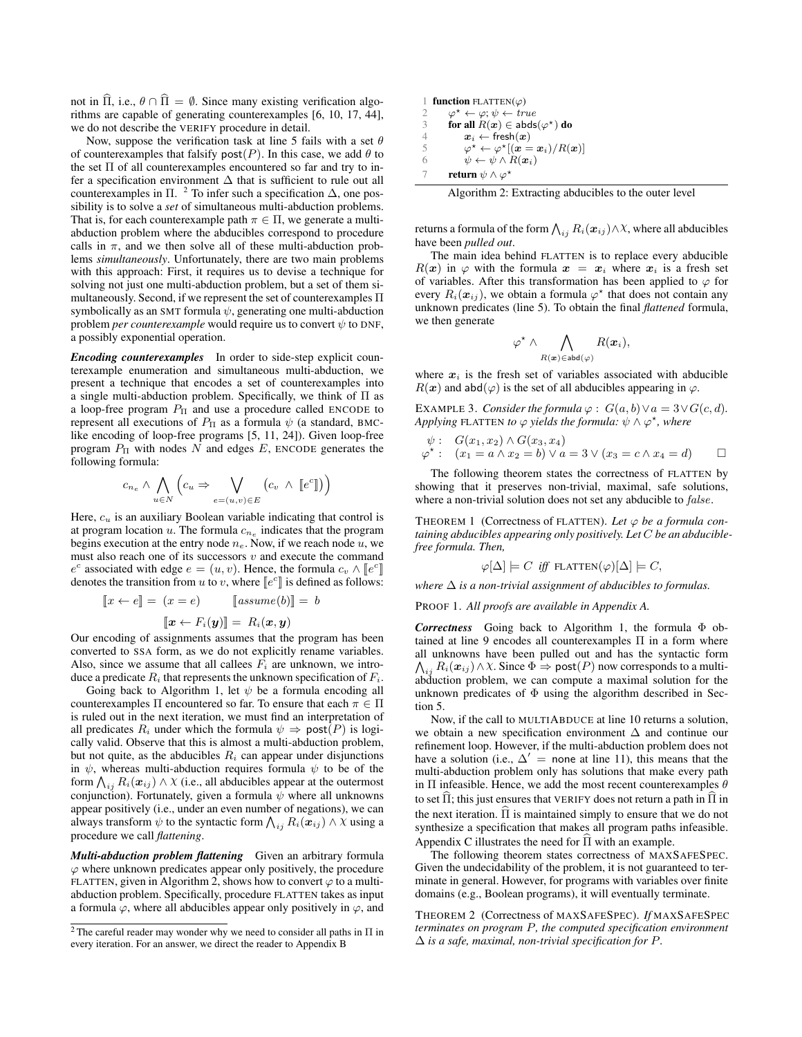not in  $\hat{\Pi}$ , i.e.,  $\theta \cap \hat{\Pi} = \emptyset$ . Since many existing verification algorithms are capable of generating counterexamples [6, 10, 17, 44], we do not describe the VERIFY procedure in detail.

Now, suppose the verification task at line 5 fails with a set  $\theta$ of counterexamples that falsify  $post(P)$ . In this case, we add  $\theta$  to the set Π of all counterexamples encountered so far and try to infer a specification environment ∆ that is sufficient to rule out all counterexamples in  $\Pi$ . <sup>2</sup> To infer such a specification  $\Delta$ , one possibility is to solve a *set* of simultaneous multi-abduction problems. That is, for each counterexample path  $\pi \in \Pi$ , we generate a multiabduction problem where the abducibles correspond to procedure calls in  $\pi$ , and we then solve all of these multi-abduction problems *simultaneously*. Unfortunately, there are two main problems with this approach: First, it requires us to devise a technique for solving not just one multi-abduction problem, but a set of them simultaneously. Second, if we represent the set of counterexamples Π symbolically as an SMT formula  $\psi$ , generating one multi-abduction problem *per counterexample* would require us to convert  $\psi$  to DNF, a possibly exponential operation.

*Encoding counterexamples* In order to side-step explicit counterexample enumeration and simultaneous multi-abduction, we present a technique that encodes a set of counterexamples into a single multi-abduction problem. Specifically, we think of Π as a loop-free program  $P_{\Pi}$  and use a procedure called ENCODE to represent all executions of  $P_{\Pi}$  as a formula  $\psi$  (a standard, BMClike encoding of loop-free programs [5, 11, 24]). Given loop-free program  $P_{\Pi}$  with nodes N and edges E, ENCODE generates the following formula:

$$
c_{n_e} \wedge \bigwedge_{u \in N} \left( c_u \Rightarrow \bigvee_{e = (u,v) \in E} \left( c_v \wedge [e^c] \right) \right)
$$

Here,  $c<sub>u</sub>$  is an auxiliary Boolean variable indicating that control is at program location  $u$ . The formula  $c_{n_e}$  indicates that the program begins execution at the entry node  $n_e$ . Now, if we reach node u, we must also reach one of its successors  $v$  and execute the command  $e^c$  associated with edge  $e = (u, v)$ . Hence, the formula  $c_v \wedge [e^c]$ <br>denotes the transition from u to v, where  $[e^c]$  is defined as follows denotes the transition from u to v, where  $\llbracket e^c \rrbracket$  is defined as follows:

$$
[x \leftarrow e] = (x = e) \qquad [assume(b)] = b
$$

 $\left[\![\boldsymbol{x} \leftarrow F_i(\boldsymbol{y})\!]\!] = R_i(\boldsymbol{x}, \boldsymbol{y})$ 

Our encoding of assignments assumes that the program has been converted to SSA form, as we do not explicitly rename variables. Also, since we assume that all callees  $F_i$  are unknown, we introduce a predicate  $R_i$  that represents the unknown specification of  $F_i$ .

Going back to Algorithm 1, let  $\psi$  be a formula encoding all counterexamples  $\Pi$  encountered so far. To ensure that each  $\pi \in \Pi$ is ruled out in the next iteration, we must find an interpretation of all predicates  $R_i$  under which the formula  $\psi \Rightarrow \text{post}(P)$  is logically valid. Observe that this is almost a multi-abduction problem, but not quite, as the abducibles  $R_i$  can appear under disjunctions in  $\psi$ , whereas multi-abduction requires formula  $\psi$  to be of the form  $\bigwedge_{ij} R_i(\boldsymbol{x}_{ij}) \wedge \chi$  (i.e., all abducibles appear at the outermost conjunction). Fortunately, given a formula  $\psi$  where all unknowns appear positively (i.e., under an even number of negations), we can always transform  $\psi$  to the syntactic form  $\bigwedge_{ij} R_i(\boldsymbol{x}_{ij}) \wedge \chi$  using a procedure we call *flattening*.

*Multi-abduction problem flattening* Given an arbitrary formula  $\varphi$  where unknown predicates appear only positively, the procedure FLATTEN, given in Algorithm 2, shows how to convert  $\varphi$  to a multiabduction problem. Specifically, procedure FLATTEN takes as input a formula  $\varphi$ , where all abducibles appear only positively in  $\varphi$ , and

| 1 function FLATTEN( $\varphi$ ) |                                                                             |  |  |  |
|---------------------------------|-----------------------------------------------------------------------------|--|--|--|
| 2                               | $\varphi^* \leftarrow \varphi$ ; $\psi \leftarrow true$                     |  |  |  |
| 3                               | for all $R(x) \in abds(\varphi^*)$ do                                       |  |  |  |
| 4                               | $x_i \leftarrow \text{fresh}(x)$                                            |  |  |  |
| 5                               | $\varphi^* \leftarrow \varphi^*[(\mathbf{x} = \mathbf{x}_i)/R(\mathbf{x})]$ |  |  |  |
| 6                               | $\psi \leftarrow \psi \wedge R(\boldsymbol{x}_i)$                           |  |  |  |
|                                 | return $\psi \wedge \varphi^*$                                              |  |  |  |

Algorithm 2: Extracting abducibles to the outer level

returns a formula of the form  $\bigwedge_{ij} R_i(\bm{x}_{ij}) \wedge \chi$ , where all abducibles have been *pulled out*.

The main idea behind FLATTEN is to replace every abducible  $R(x)$  in  $\varphi$  with the formula  $x = x_i$  where  $x_i$  is a fresh set of variables. After this transformation has been applied to  $\varphi$  for every  $R_i(\mathbf{x}_{ij})$ , we obtain a formula  $\varphi^*$  that does not contain any unknown predicates (line 5). To obtain the final *flattened* formula, we then generate

$$
\varphi^\star \wedge \bigwedge_{R(\bm{x}) \in \mathsf{abd}(\varphi)} R(\bm{x}_i),
$$

where  $x_i$  is the fresh set of variables associated with abducible  $R(x)$  and abd( $\varphi$ ) is the set of all abducibles appearing in  $\varphi$ .

EXAMPLE 3. *Consider the formula*  $\varphi$  :  $G(a, b) \vee a = 3 \vee G(c, d)$ . *Applying* FLATTEN *to*  $\varphi$  *yields the formula:*  $\psi \wedge \varphi^*$ *, where* 

$$
\psi: G(x_1, x_2) \wedge G(x_3, x_4)
$$
  

$$
\varphi^*:\ (x_1 = a \wedge x_2 = b) \vee a = 3 \vee (x_3 = c \wedge x_4 = d) \square
$$

The following theorem states the correctness of FLATTEN by showing that it preserves non-trivial, maximal, safe solutions, where a non-trivial solution does not set any abducible to *false*.

THEOREM 1 (Correctness of FLATTEN). *Let* ϕ *be a formula containing abducibles appearing only positively. Let* C *be an abduciblefree formula. Then,*

$$
\varphi[\Delta] \models C \text{ iff } \text{FLATTEN}(\varphi)[\Delta] \models C,
$$

*where*  $\Delta$  *is a non-trivial assignment of abducibles to formulas.* 

PROOF 1. *All proofs are available in Appendix A.*

*Correctness* Going back to Algorithm 1, the formula Φ obtained at line 9 encodes all counterexamples Π in a form where all unknowns have been pulled out and has the syntactic form  $\bigwedge_{ij} R_i(\boldsymbol{x}_{ij}) \wedge \chi$ . Since  $\Phi \Rightarrow \mathsf{post}(P)$  now corresponds to a multiabduction problem, we can compute a maximal solution for the unknown predicates of  $\Phi$  using the algorithm described in Section 5.

Now, if the call to MULTIABDUCE at line 10 returns a solution, we obtain a new specification environment ∆ and continue our refinement loop. However, if the multi-abduction problem does not have a solution (i.e.,  $\Delta' =$  none at line 11), this means that the multi-abduction problem only has solutions that make every path in  $\Pi$  infeasible. Hence, we add the most recent counterexamples  $\theta$ to set  $\Pi$ ; this just ensures that VERIFY does not return a path in  $\Pi$  in the next iteration.  $\Pi$  is maintained simply to ensure that we do not synthesize a specification that makes all program paths infeasible. Appendix C illustrates the need for  $\widehat{\Pi}$  with an example.

The following theorem states correctness of MAXSAFESPEC. Given the undecidability of the problem, it is not guaranteed to terminate in general. However, for programs with variables over finite domains (e.g., Boolean programs), it will eventually terminate.

THEOREM 2 (Correctness of MAXSAFESPEC). *If* MAXSAFESPEC *terminates on program* P*, the computed specification environment* ∆ *is a safe, maximal, non-trivial specification for* P*.*

 $^2$  The careful reader may wonder why we need to consider all paths in  $\Pi$  in every iteration. For an answer, we direct the reader to Appendix B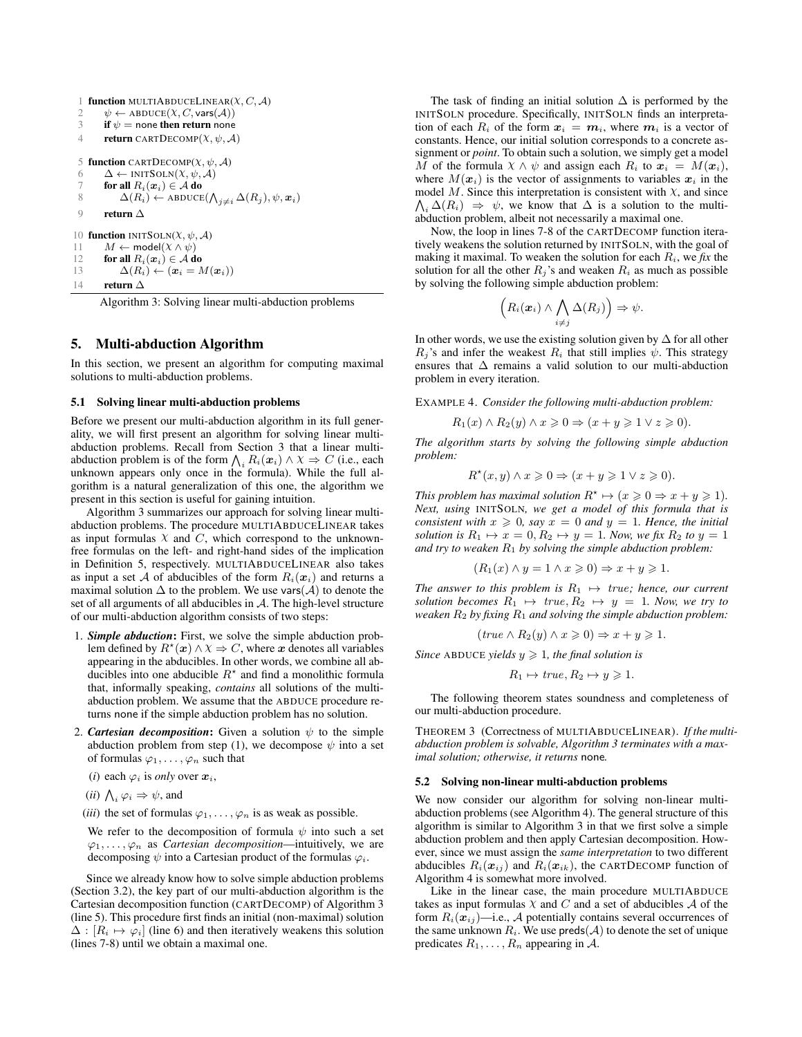```
1 function MULTIABDUCELINEAR(X, C, A)<br>2 \psi \leftarrow ABDUCE(X, C, \text{vars}(A))2 \psi \leftarrow \text{ABDUE}(X, C, \text{vars}(\mathcal{A}))<br>3 if \psi = \text{none} then return none
            if \psi = none then return none
  4 return CARTDECOMP(X, \psi, \mathcal{A})5 function CARTDECOMP(X, \psi, \mathcal{A})6 \Delta \leftarrow \text{INITSOLN}(\mathcal{X}, \psi, \mathcal{A})7 for all R_i(x_i) \in \mathcal{A} do<br>8 \Delta(R_i) \leftarrow ABDUCE
  8 \Delta(R_i) \leftarrow \text{ABDUCE}(\bigwedge_{j \neq i} \Delta(R_j), \psi, \mathbf{x}_i)9 return ∆
10 function INITSOLN(X, \psi, \mathcal{A})11 M \leftarrow \text{model}(X \wedge \psi)12 for all R_i(x_i) \in A do<br>13 \Delta(R_i) \leftarrow (x_i = h)\Delta(R_i) \leftarrow (\boldsymbol{x}_i = M(\boldsymbol{x}_i))14 return \Lambda
```
Algorithm 3: Solving linear multi-abduction problems

## 5. Multi-abduction Algorithm

In this section, we present an algorithm for computing maximal solutions to multi-abduction problems.

#### 5.1 Solving linear multi-abduction problems

Before we present our multi-abduction algorithm in its full generality, we will first present an algorithm for solving linear multiabduction problems. Recall from Section 3 that a linear multiabduction problem is of the form  $\bigwedge_i R_i(\boldsymbol{x}_i) \wedge \boldsymbol{X} \Rightarrow C$  (i.e., each unknown appears only once in the formula). While the full algorithm is a natural generalization of this one, the algorithm we present in this section is useful for gaining intuition.

Algorithm 3 summarizes our approach for solving linear multiabduction problems. The procedure MULTIABDUCELINEAR takes as input formulas  $X$  and  $C$ , which correspond to the unknownfree formulas on the left- and right-hand sides of the implication in Definition 5, respectively. MULTIABDUCELINEAR also takes as input a set A of abducibles of the form  $R_i(x_i)$  and returns a maximal solution  $\Delta$  to the problem. We use vars( $\mathcal{A}$ ) to denote the set of all arguments of all abducibles in A. The high-level structure of our multi-abduction algorithm consists of two steps:

- 1. *Simple abduction*: First, we solve the simple abduction problem defined by  $R^*(x) \wedge \chi \Rightarrow C$ , where x denotes all variables appearing in the abducibles. In other words, we combine all abducibles into one abducible  $R^*$  and find a monolithic formula that, informally speaking, *contains* all solutions of the multiabduction problem. We assume that the ABDUCE procedure returns none if the simple abduction problem has no solution.
- 2. *Cartesian decomposition*: Given a solution  $\psi$  to the simple abduction problem from step (1), we decompose  $\psi$  into a set of formulas  $\varphi_1, \ldots, \varphi_n$  such that
	- (*i*) each  $\varphi_i$  is *only* over  $x_i$ ,
	- (*ii*)  $\bigwedge_i \varphi_i \Rightarrow \psi$ , and
	- (*iii*) the set of formulas  $\varphi_1, \ldots, \varphi_n$  is as weak as possible.

We refer to the decomposition of formula  $\psi$  into such a set  $\varphi_1, \ldots, \varphi_n$  as *Cartesian decomposition*—intuitively, we are decomposing  $\psi$  into a Cartesian product of the formulas  $\varphi_i$ .

Since we already know how to solve simple abduction problems (Section 3.2), the key part of our multi-abduction algorithm is the Cartesian decomposition function (CARTDECOMP) of Algorithm 3 (line 5). This procedure first finds an initial (non-maximal) solution  $\Delta : [R_i \mapsto \varphi_i]$  (line 6) and then iteratively weakens this solution (lines 7-8) until we obtain a maximal one.

The task of finding an initial solution  $\Delta$  is performed by the INITSOLN procedure. Specifically, INITSOLN finds an interpretation of each  $R_i$  of the form  $x_i = m_i$ , where  $m_i$  is a vector of constants. Hence, our initial solution corresponds to a concrete assignment or *point*. To obtain such a solution, we simply get a model M of the formula  $X \wedge \psi$  and assign each  $R_i$  to  $x_i = M(x_i)$ , where  $M(x_i)$  is the vector of assignments to variables  $x_i$  in the  $\bigwedge_i \Delta(R_i) \Rightarrow \psi$ , we know that  $\Delta$  is a solution to the multimodel M. Since this interpretation is consistent with  $\chi$ , and since abduction problem, albeit not necessarily a maximal one.

Now, the loop in lines 7-8 of the CARTDECOMP function iteratively weakens the solution returned by INITSOLN, with the goal of making it maximal. To weaken the solution for each  $R_i$ , we *fix* the solution for all the other  $R_j$ 's and weaken  $R_i$  as much as possible by solving the following simple abduction problem:

$$
\left(R_i(\boldsymbol{x}_i) \wedge \bigwedge_{i \neq j} \Delta(R_j)\right) \Rightarrow \psi.
$$

In other words, we use the existing solution given by ∆ for all other  $R_i$ 's and infer the weakest  $R_i$  that still implies  $\psi$ . This strategy ensures that ∆ remains a valid solution to our multi-abduction problem in every iteration.

EXAMPLE 4. *Consider the following multi-abduction problem:*

$$
R_1(x) \wedge R_2(y) \wedge x \geq 0 \Rightarrow (x + y \geq 1 \vee z \geq 0).
$$

*The algorithm starts by solving the following simple abduction problem:*

$$
R^*(x, y) \land x \geq 0 \Rightarrow (x + y \geq 1 \lor z \geq 0).
$$

*This problem has maximal solution*  $R^* \mapsto (x \geq 0 \Rightarrow x + y \geq 1)$ *. Next, using* INITSOLN*, we get a model of this formula that is consistent with*  $x \ge 0$ *, say*  $x = 0$  *and*  $y = 1$ *. Hence, the initial solution is*  $R_1 \mapsto x = 0, R_2 \mapsto y = 1$ *. Now, we fix*  $R_2$  *to*  $y = 1$ *and try to weaken* R<sup>1</sup> *by solving the simple abduction problem:*

$$
(R_1(x) \land y = 1 \land x \ge 0) \Rightarrow x + y \ge 1.
$$

*The answer to this problem is*  $R_1 \mapsto true$ *; hence, our current solution becomes*  $R_1 \mapsto true, R_2 \mapsto y = 1$ *. Now, we try to weaken* R<sup>2</sup> *by fixing* R<sup>1</sup> *and solving the simple abduction problem:*

$$
(\text{true} \land R_2(y) \land x \geqslant 0) \Rightarrow x + y \geqslant 1.
$$

*Since* ABDUCE *yields*  $y \ge 1$ *, the final solution is* 

$$
R_1 \mapsto \text{true}, R_2 \mapsto y \geq 1.
$$

The following theorem states soundness and completeness of our multi-abduction procedure.

THEOREM 3 (Correctness of MULTIABDUCELINEAR). *If the multiabduction problem is solvable, Algorithm 3 terminates with a maximal solution; otherwise, it returns* none*.*

#### 5.2 Solving non-linear multi-abduction problems

We now consider our algorithm for solving non-linear multiabduction problems (see Algorithm 4). The general structure of this algorithm is similar to Algorithm 3 in that we first solve a simple abduction problem and then apply Cartesian decomposition. However, since we must assign the *same interpretation* to two different abducibles  $R_i(\mathbf{x}_{ij})$  and  $R_i(\mathbf{x}_{ik})$ , the CARTDECOMP function of Algorithm 4 is somewhat more involved.

Like in the linear case, the main procedure MULTIABDUCE takes as input formulas  $X$  and  $C$  and a set of abducibles  $A$  of the form  $R_i(\mathbf{x}_{ij})$ —i.e., A potentially contains several occurrences of the same unknown  $R_i$ . We use preds( $\mathcal{A}$ ) to denote the set of unique predicates  $R_1, \ldots, R_n$  appearing in A.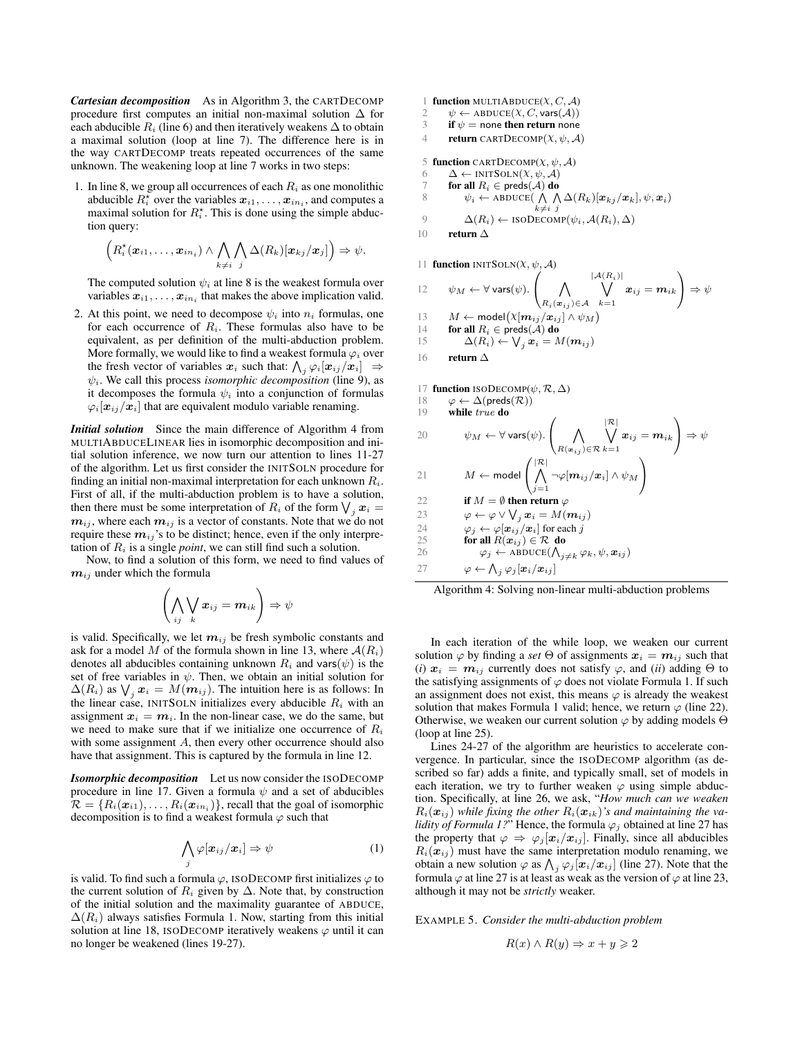*Cartesian decomposition* As in Algorithm 3, the CARTDECOMP procedure first computes an initial non-maximal solution ∆ for each abducible  $R_i$  (line 6) and then iteratively weakens  $\Delta$  to obtain a maximal solution (loop at line 7). The difference here is in the way CARTDECOMP treats repeated occurrences of the same unknown. The weakening loop at line 7 works in two steps:

1. In line 8, we group all occurrences of each  $R_i$  as one monolithic abducible  $R_i^*$  over the variables  $x_{i1}, \ldots, x_{in_i}$ , and computes a maximal solution for  $R_i^*$ . This is done using the simple abduction query:

$$
\left(R_i^{\star}(\boldsymbol{x}_{i1},\ldots,\boldsymbol{x}_{in_i})\wedge\bigwedge_{k\neq i}\bigwedge_{j}\Delta(R_k)[\boldsymbol{x}_{kj}/\boldsymbol{x}_j]\right)\Rightarrow\psi.
$$

The computed solution  $\psi_i$  at line 8 is the weakest formula over variables  $x_{i1}, \ldots, x_{in_i}$  that makes the above implication valid.

2. At this point, we need to decompose  $\psi_i$  into  $n_i$  formulas, one for each occurrence of  $R_i$ . These formulas also have to be equivalent, as per definition of the multi-abduction problem. More formally, we would like to find a weakest formula  $\varphi_i$  over the fresh vector of variables  $x_i$  such that:  $\bigwedge_j \varphi_i[x_{ij}/x_i] \Rightarrow$  $\psi_i$ . We call this process *isomorphic decomposition* (line 9), as it decomposes the formula  $\psi_i$  into a conjunction of formulas  $\varphi_i[\boldsymbol{x}_{ij}|\boldsymbol{x}_i]$  that are equivalent modulo variable renaming.

*Initial solution* Since the main difference of Algorithm 4 from MULTIABDUCELINEAR lies in isomorphic decomposition and initial solution inference, we now turn our attention to lines 11-27 of the algorithm. Let us first consider the INITSOLN procedure for finding an initial non-maximal interpretation for each unknown  $R_i$ . First of all, if the multi-abduction problem is to have a solution, then there must be some interpretation of  $R_i$  of the form  $\bigvee_j \bm{x}_i =$  $m_{ij}$ , where each  $m_{ij}$  is a vector of constants. Note that we do not require these  $m_{ij}$ 's to be distinct; hence, even if the only interpretation of  $R_i$  is a single *point*, we can still find such a solution.

Now, to find a solution of this form, we need to find values of  $m_{ij}$  under which the formula

$$
\left(\bigwedge_{ij} \bigvee_k \bm{x}_{ij} = \bm{m}_{ik}\right) \Rightarrow \psi
$$

is valid. Specifically, we let  $m_{ij}$  be fresh symbolic constants and ask for a model M of the formula shown in line 13, where  $A(R_i)$ denotes all abducibles containing unknown  $R_i$  and vars $(\psi)$  is the set of free variables in  $\psi$ . Then, we obtain an initial solution for  $\Delta(R_i)$  as  $\bigvee_j \bm{x}_i = M(\bm{m}_{ij})$ . The intuition here is as follows: In the linear case, INITSOLN initializes every abducible  $R_i$  with an assignment  $x_i = m_i$ . In the non-linear case, we do the same, but we need to make sure that if we initialize one occurrence of  $R_i$ with some assignment  $A$ , then every other occurrence should also have that assignment. This is captured by the formula in line 12.

*Isomorphic decomposition* Let us now consider the ISODECOMP procedure in line 17. Given a formula  $\psi$  and a set of abducibles  $\mathcal{R} = \{R_i(\boldsymbol{x}_{i1}), \dots, R_i(\boldsymbol{x}_{in_i})\}$ , recall that the goal of isomorphic decomposition is to find a weakest formula  $\varphi$  such that

$$
\bigwedge_j \varphi[\boldsymbol{x}_{ij}/\boldsymbol{x}_i] \Rightarrow \psi \tag{1}
$$

is valid. To find such a formula  $\varphi$ , ISODECOMP first initializes  $\varphi$  to the current solution of  $R_i$  given by  $\Delta$ . Note that, by construction of the initial solution and the maximality guarantee of ABDUCE,  $\Delta(R_i)$  always satisfies Formula 1. Now, starting from this initial solution at line 18, ISODECOMP iteratively weakens  $\varphi$  until it can no longer be weakened (lines 19-27).

1 **function** MULTIABDUCE $(X, C, A)$ 2  $\psi \leftarrow \text{ABDUCE}(X, C, \text{vars}(\mathcal{A}))$ <br>3 **if**  $\psi =$  none **then return** none if  $\psi =$  none then return none 4 return CARTDECOMP $(\chi, \psi, \mathcal{A})$ 5 function CARTDECOMP $(X, \psi, \mathcal{A})$ 6  $\Delta \leftarrow \text{INTSOLN}(X, \psi, \mathcal{A})$ <br>7 **for all**  $R_i \in \text{preds}(\mathcal{A})$  do 7 **for all**  $R_i \in \text{preds}(\mathcal{A})$  **do**<br>8  $\psi_i \leftarrow \text{ABDUEE}(\bigwedge \Lambda)$ 8  $\psi_i \leftarrow \text{ABDUCE}(\bigwedge_{k \neq i} \bigwedge_j \Delta(R_k)[\boldsymbol{x}_{kj}/\boldsymbol{x}_k], \psi, \boldsymbol{x}_i)$ 9  $\Delta(R_i) \leftarrow \text{ISODECOMP}(\psi_i, \mathcal{A}(R_i), \Delta)$ 10 return  $\Delta$ 11 **function**  $INTSOLN(X, \psi, \mathcal{A})$ 12  $\psi_M \leftarrow \forall \text{vars}(\psi).$  $\sqrt{ }$  $\begin{pmatrix} \Lambda \end{pmatrix}$  $R_i(\boldsymbol{x}_{ij})\in\mathcal{A}$  $\frac{|{\cal A}(R_i)|}{\sqrt{2}}$  $k=1$  $\bm{x}_{ij} = \bm{m}_{ik}$  $\setminus$  $\Rightarrow \psi$ 13  $M \leftarrow \text{model}(\chi[\mathbf{m}_{ij}/\mathbf{x}_{ij}] \wedge \psi_M)$ 14 **for all**  $R_i \in \text{preds}(\mathcal{A})$  **do**<br>15  $\Delta(R_i) \leftarrow \bigvee_i \mathbf{x}_i = M_i$ 15  $\Delta(R_i) \leftarrow \bigvee_j \boldsymbol{x}_i = M(\boldsymbol{m}_{ij})$ 16 return ∆

17 function ISODECOMP $(\psi, \mathcal{R}, \Delta)$ 18  $\varphi \leftarrow \Delta(\text{preds}(\mathcal{R}))$ <br>19 **while** *true* **do** while true do 20  $\psi_M \leftarrow \forall \text{vars}(\psi).$  $\sqrt{ }$  $\begin{pmatrix} \Lambda \end{pmatrix}$  $R(\boldsymbol{x}_{ij})\in\mathcal{R}$  $\frac{|\mathcal{R}|}{\bigvee}$  $k=1$  $\bm{x}_{ij} = \bm{m}_{ik}$  $\setminus$  $\Rightarrow \psi$ 21  $M \leftarrow \text{model}$  $\sqrt{ }$  $\mathcal{L}$  $\mathsf{R}^|\mathcal{R}|$  $j=1$  $\neg \varphi[\boldsymbol{m}_{ij}/\boldsymbol{x}_i] \wedge \psi_M$  $\setminus$  $\overline{1}$ 22 if  $M = \emptyset$  then return  $\varphi$ 23  $\varphi \leftarrow \varphi \vee \bigvee_j \boldsymbol{x}_i = M(\boldsymbol{m}_{ij})$ 24  $\varphi_j \leftarrow \varphi[\boldsymbol{x}_{ij}/\boldsymbol{x}_i]$  for each j 25 **for all**  $R(x_{ij}) \in \mathcal{R}$  do 26  $\varphi_j \leftarrow \text{ABDUCE}(\bigwedge_{j \neq k} \varphi_k, \psi, \boldsymbol{x}_{ij})$ 27  $\varphi \leftarrow \bigwedge_j \varphi_j[\boldsymbol{x}_i/\boldsymbol{x}_{ij}]$ 

Algorithm 4: Solving non-linear multi-abduction problems

In each iteration of the while loop, we weaken our current solution  $\varphi$  by finding a *set*  $\Theta$  of assignments  $x_i = m_{ij}$  such that (*i*)  $x_i = m_{ij}$  currently does not satisfy  $\varphi$ , and (*ii*) adding  $\Theta$  to the satisfying assignments of  $\varphi$  does not violate Formula 1. If such an assignment does not exist, this means  $\varphi$  is already the weakest solution that makes Formula 1 valid; hence, we return  $\varphi$  (line 22). Otherwise, we weaken our current solution  $\varphi$  by adding models  $\Theta$ (loop at line 25).

Lines 24-27 of the algorithm are heuristics to accelerate convergence. In particular, since the ISODECOMP algorithm (as described so far) adds a finite, and typically small, set of models in each iteration, we try to further weaken  $\varphi$  using simple abduction. Specifically, at line 26, we ask, "*How much can we weaken*  $R_i(\boldsymbol{x}_{ij})$  while fixing the other  $R_i(\boldsymbol{x}_{ik})$ 's and maintaining the va*lidity of Formula 1?*" Hence, the formula  $\varphi_j$  obtained at line 27 has the property that  $\varphi \Rightarrow \varphi_j[\mathbf{x}_i/\mathbf{x}_{ij}]$ . Finally, since all abducibles  $R_i(\mathbf{x}_{ij})$  must have the same interpretation modulo renaming, we obtain a new solution  $\varphi$  as  $\bigwedge_j \varphi_j[\boldsymbol{x}_i/\boldsymbol{x}_{ij}]$  (line 27). Note that the formula  $\varphi$  at line 27 is at least as weak as the version of  $\varphi$  at line 23, although it may not be *strictly* weaker.

EXAMPLE 5. *Consider the multi-abduction problem*

$$
R(x) \land R(y) \Rightarrow x + y \geqslant 2
$$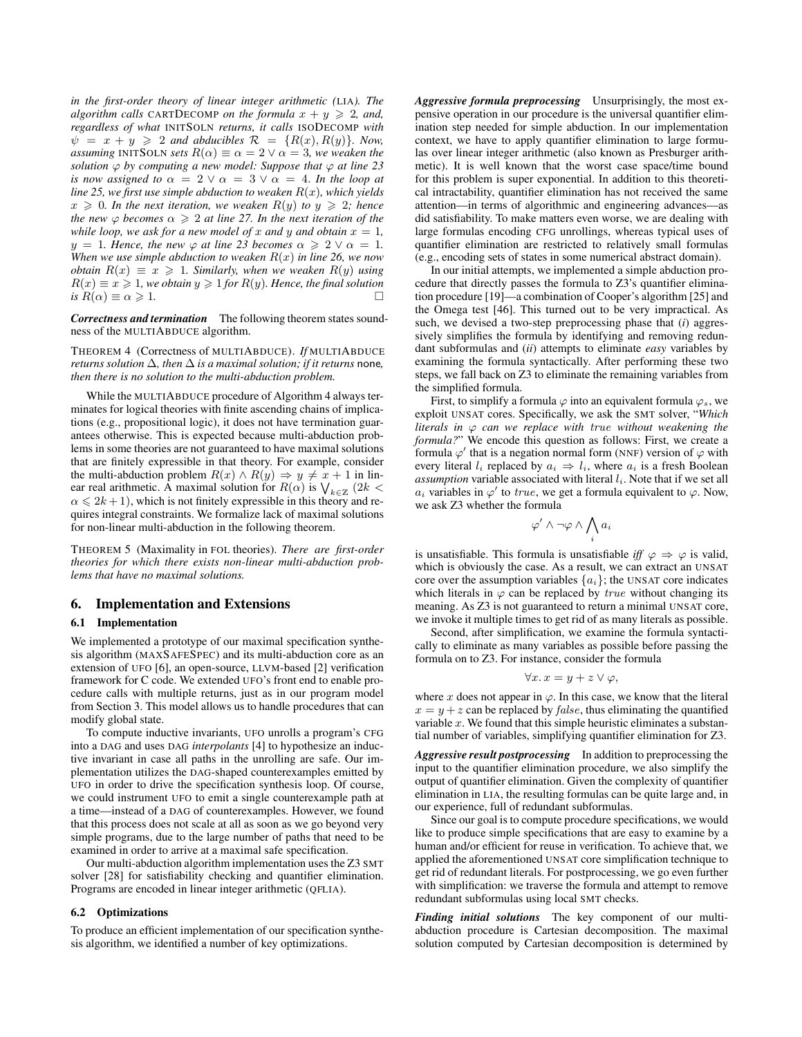*in the first-order theory of linear integer arithmetic (*LIA*). The algorithm calls* CARTDECOMP *on the formula*  $x + y \ge 2$ *, and, regardless of what* INITSOLN *returns, it calls* ISODECOMP *with*  $\psi = x + y \geq 2$  *and abducibles*  $\mathcal{R} = \{R(x), R(y)\}\$ . Now, *assuming* INITSOLN *sets*  $R(\alpha) \equiv \alpha = 2 \vee \alpha = 3$ *, we weaken the solution*  $\varphi$  *by computing a new model: Suppose that*  $\varphi$  *at line* 23 *is now assigned to*  $\alpha = 2 \vee \alpha = 3 \vee \alpha = 4$ . *In the loop at line 25, we first use simple abduction to weaken* R(x)*, which yields*  $x \geq 0$ . In the next iteration, we weaken  $R(y)$  to  $y \geq 2$ ; hence *the new*  $\varphi$  *becomes*  $\alpha \geq 2$  *at line 27. In the next iteration of the while loop, we ask for a new model of* x *and* y *and obtain*  $x = 1$ *,*  $y = 1$ *. Hence, the new*  $\varphi$  *at line 23 becomes*  $\alpha \geq 2 \vee \alpha = 1$ *. When we use simple abduction to weaken*  $R(x)$  *in line 26, we now obtain*  $R(x) \equiv x \ge 1$ *. Similarly, when we weaken*  $R(y)$  *using*  $R(x) \equiv x \geq 1$ , we obtain  $y \geq 1$  for  $R(y)$ . Hence, the final solution *is*  $R(\alpha) \equiv \alpha \geqslant 1$ .

*Correctness and termination* The following theorem states soundness of the MULTIABDUCE algorithm.

THEOREM 4 (Correctness of MULTIABDUCE). *If* MULTIABDUCE *returns solution*  $\Delta$ *, then*  $\Delta$  *is a maximal solution; if it returns* none*, then there is no solution to the multi-abduction problem.*

While the MULTIABDUCE procedure of Algorithm 4 always terminates for logical theories with finite ascending chains of implications (e.g., propositional logic), it does not have termination guarantees otherwise. This is expected because multi-abduction problems in some theories are not guaranteed to have maximal solutions that are finitely expressible in that theory. For example, consider the multi-abduction problem  $R(x) \wedge R(y) \Rightarrow y \neq x + 1$  in linear real arithmetic. A maximal solution for  $R(\alpha)$  is  $\bigvee_{k \in \mathbb{Z}} (2k <$  $\alpha \leq 2k+1$ , which is not finitely expressible in this theory and requires integral constraints. We formalize lack of maximal solutions for non-linear multi-abduction in the following theorem.

THEOREM 5 (Maximality in FOL theories). *There are first-order theories for which there exists non-linear multi-abduction problems that have no maximal solutions.*

## 6. Implementation and Extensions

#### 6.1 Implementation

We implemented a prototype of our maximal specification synthesis algorithm (MAXSAFESPEC) and its multi-abduction core as an extension of UFO [6], an open-source, LLVM-based [2] verification framework for C code. We extended UFO's front end to enable procedure calls with multiple returns, just as in our program model from Section 3. This model allows us to handle procedures that can modify global state.

To compute inductive invariants, UFO unrolls a program's CFG into a DAG and uses DAG *interpolants* [4] to hypothesize an inductive invariant in case all paths in the unrolling are safe. Our implementation utilizes the DAG-shaped counterexamples emitted by UFO in order to drive the specification synthesis loop. Of course, we could instrument UFO to emit a single counterexample path at a time—instead of a DAG of counterexamples. However, we found that this process does not scale at all as soon as we go beyond very simple programs, due to the large number of paths that need to be examined in order to arrive at a maximal safe specification.

Our multi-abduction algorithm implementation uses the Z3 SMT solver [28] for satisfiability checking and quantifier elimination. Programs are encoded in linear integer arithmetic (QFLIA).

## 6.2 Optimizations

To produce an efficient implementation of our specification synthesis algorithm, we identified a number of key optimizations.

*Aggressive formula preprocessing* Unsurprisingly, the most expensive operation in our procedure is the universal quantifier elimination step needed for simple abduction. In our implementation context, we have to apply quantifier elimination to large formulas over linear integer arithmetic (also known as Presburger arithmetic). It is well known that the worst case space/time bound for this problem is super exponential. In addition to this theoretical intractability, quantifier elimination has not received the same attention—in terms of algorithmic and engineering advances—as did satisfiability. To make matters even worse, we are dealing with large formulas encoding CFG unrollings, whereas typical uses of quantifier elimination are restricted to relatively small formulas (e.g., encoding sets of states in some numerical abstract domain).

In our initial attempts, we implemented a simple abduction procedure that directly passes the formula to Z3's quantifier elimination procedure [19]—a combination of Cooper's algorithm [25] and the Omega test [46]. This turned out to be very impractical. As such, we devised a two-step preprocessing phase that (*i*) aggressively simplifies the formula by identifying and removing redundant subformulas and (*ii*) attempts to eliminate *easy* variables by examining the formula syntactically. After performing these two steps, we fall back on Z3 to eliminate the remaining variables from the simplified formula.

First, to simplify a formula  $\varphi$  into an equivalent formula  $\varphi_s$ , we exploit UNSAT cores. Specifically, we ask the SMT solver, "*Which literals in* ϕ *can we replace with* true *without weakening the formula?*" We encode this question as follows: First, we create a formula  $\varphi'$  that is a negation normal form (NNF) version of  $\varphi$  with every literal  $l_i$  replaced by  $a_i \Rightarrow l_i$ , where  $a_i$  is a fresh Boolean *assumption* variable associated with literal  $l_i$ . Note that if we set all  $a_i$  variables in  $\varphi'$  to true, we get a formula equivalent to  $\varphi$ . Now, we ask Z3 whether the formula

$$
\varphi' \land \neg \varphi \land \bigwedge_i a_i
$$

is unsatisfiable. This formula is unsatisfiable *iff*  $\varphi \Rightarrow \varphi$  is valid, which is obviously the case. As a result, we can extract an UNSAT core over the assumption variables  $\{a_i\}$ ; the UNSAT core indicates which literals in  $\varphi$  can be replaced by *true* without changing its meaning. As Z3 is not guaranteed to return a minimal UNSAT core, we invoke it multiple times to get rid of as many literals as possible.

Second, after simplification, we examine the formula syntactically to eliminate as many variables as possible before passing the formula on to Z3. For instance, consider the formula

$$
\forall x. \, x = y + z \vee \varphi,
$$

where x does not appear in  $\varphi$ . In this case, we know that the literal  $x = y + z$  can be replaced by *false*, thus eliminating the quantified variable  $x$ . We found that this simple heuristic eliminates a substantial number of variables, simplifying quantifier elimination for Z3.

*Aggressive result postprocessing* In addition to preprocessing the input to the quantifier elimination procedure, we also simplify the output of quantifier elimination. Given the complexity of quantifier elimination in LIA, the resulting formulas can be quite large and, in our experience, full of redundant subformulas.

Since our goal is to compute procedure specifications, we would like to produce simple specifications that are easy to examine by a human and/or efficient for reuse in verification. To achieve that, we applied the aforementioned UNSAT core simplification technique to get rid of redundant literals. For postprocessing, we go even further with simplification: we traverse the formula and attempt to remove redundant subformulas using local SMT checks.

*Finding initial solutions* The key component of our multiabduction procedure is Cartesian decomposition. The maximal solution computed by Cartesian decomposition is determined by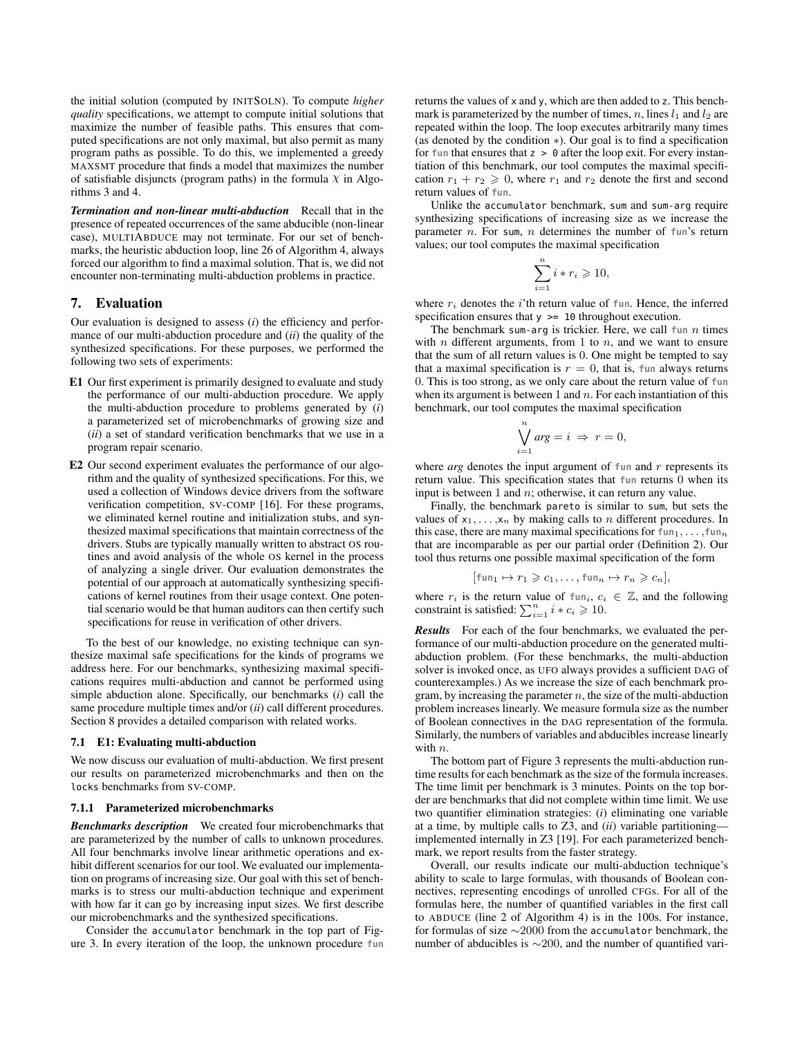the initial solution (computed by INITSOLN). To compute *higher quality* specifications, we attempt to compute initial solutions that maximize the number of feasible paths. This ensures that computed specifications are not only maximal, but also permit as many program paths as possible. To do this, we implemented a greedy MAXSMT procedure that finds a model that maximizes the number of satisfiable disjuncts (program paths) in the formula  $\chi$  in Algorithms 3 and 4.

*Termination and non-linear multi-abduction* Recall that in the presence of repeated occurrences of the same abducible (non-linear case), MULTIABDUCE may not terminate. For our set of benchmarks, the heuristic abduction loop, line 26 of Algorithm 4, always forced our algorithm to find a maximal solution. That is, we did not encounter non-terminating multi-abduction problems in practice.

# 7. Evaluation

Our evaluation is designed to assess (*i*) the efficiency and performance of our multi-abduction procedure and (*ii*) the quality of the synthesized specifications. For these purposes, we performed the following two sets of experiments:

- E1 Our first experiment is primarily designed to evaluate and study the performance of our multi-abduction procedure. We apply the multi-abduction procedure to problems generated by (*i*) a parameterized set of microbenchmarks of growing size and (*ii*) a set of standard verification benchmarks that we use in a program repair scenario.
- E2 Our second experiment evaluates the performance of our algorithm and the quality of synthesized specifications. For this, we used a collection of Windows device drivers from the software verification competition, SV-COMP [16]. For these programs, we eliminated kernel routine and initialization stubs, and synthesized maximal specifications that maintain correctness of the drivers. Stubs are typically manually written to abstract OS routines and avoid analysis of the whole OS kernel in the process of analyzing a single driver. Our evaluation demonstrates the potential of our approach at automatically synthesizing specifications of kernel routines from their usage context. One potential scenario would be that human auditors can then certify such specifications for reuse in verification of other drivers.

To the best of our knowledge, no existing technique can synthesize maximal safe specifications for the kinds of programs we address here. For our benchmarks, synthesizing maximal specifications requires multi-abduction and cannot be performed using simple abduction alone. Specifically, our benchmarks (*i*) call the same procedure multiple times and/or (*ii*) call different procedures. Section 8 provides a detailed comparison with related works.

#### 7.1 E1: Evaluating multi-abduction

We now discuss our evaluation of multi-abduction. We first present our results on parameterized microbenchmarks and then on the locks benchmarks from SV-COMP.

## 7.1.1 Parameterized microbenchmarks

*Benchmarks description* We created four microbenchmarks that are parameterized by the number of calls to unknown procedures. All four benchmarks involve linear arithmetic operations and exhibit different scenarios for our tool. We evaluated our implementation on programs of increasing size. Our goal with this set of benchmarks is to stress our multi-abduction technique and experiment with how far it can go by increasing input sizes. We first describe our microbenchmarks and the synthesized specifications.

Consider the accumulator benchmark in the top part of Figure 3. In every iteration of the loop, the unknown procedure **fun** returns the values of x and y, which are then added to z. This benchmark is parameterized by the number of times, n, lines  $l_1$  and  $l_2$  are repeated within the loop. The loop executes arbitrarily many times (as denoted by the condition ∗). Our goal is to find a specification for  $f$ un that ensures that  $z > 0$  after the loop exit. For every instantiation of this benchmark, our tool computes the maximal specification  $r_1 + r_2 \geq 0$ , where  $r_1$  and  $r_2$  denote the first and second return values of **fun**.

Unlike the accumulator benchmark, sum and sum-arg require synthesizing specifications of increasing size as we increase the parameter n. For sum, n determines the number of **fun**'s return values; our tool computes the maximal specification

$$
\sum_{i=1}^{n} i * r_i \geqslant 10,
$$

where  $r_i$  denotes the i'th return value of  $f$ un. Hence, the inferred specification ensures that  $y \ge 10$  throughout execution.

The benchmark sum-arg is trickier. Here, we call  $fun$  n times with  $n$  different arguments, from 1 to  $n$ , and we want to ensure that the sum of all return values is 0. One might be tempted to say that a maximal specification is  $r = 0$ , that is, fun always returns 0. This is too strong, as we only care about the return value of **fun** when its argument is between 1 and  $n$ . For each instantiation of this benchmark, our tool computes the maximal specification

$$
\bigvee_{i=1}^{n} arg = i \Rightarrow r = 0,
$$

where  $arg$  denotes the input argument of  $fun$  and  $r$  represents its return value. This specification states that **fun** returns 0 when its input is between 1 and  $n$ ; otherwise, it can return any value.

Finally, the benchmark pareto is similar to sum, but sets the values of  $x_1, \ldots, x_n$  by making calls to *n* different procedures. In this case, there are many maximal specifications for  $fun_1, \ldots, fun_n$ that are incomparable as per our partial order (Definition 2). Our tool thus returns one possible maximal specification of the form

$$
[\text{fun}_1 \mapsto r_1 \geqslant c_1, \dots, \text{fun}_n \mapsto r_n \geqslant c_n],
$$

where  $r_i$  is the return value of  $fun_i, c_i \in \mathbb{Z}$ , and the following constraint is satisfied:  $\sum_{i=1}^{n} i * c_i \geq 10$ .

*Results* For each of the four benchmarks, we evaluated the performance of our multi-abduction procedure on the generated multiabduction problem. (For these benchmarks, the multi-abduction solver is invoked once, as UFO always provides a sufficient DAG of counterexamples.) As we increase the size of each benchmark program, by increasing the parameter  $n$ , the size of the multi-abduction problem increases linearly. We measure formula size as the number of Boolean connectives in the DAG representation of the formula. Similarly, the numbers of variables and abducibles increase linearly with  $n$ .

The bottom part of Figure 3 represents the multi-abduction runtime results for each benchmark as the size of the formula increases. The time limit per benchmark is 3 minutes. Points on the top border are benchmarks that did not complete within time limit. We use two quantifier elimination strategies: (*i*) eliminating one variable at a time, by multiple calls to Z3, and (*ii*) variable partitioning implemented internally in Z3 [19]. For each parameterized benchmark, we report results from the faster strategy.

Overall, our results indicate our multi-abduction technique's ability to scale to large formulas, with thousands of Boolean connectives, representing encodings of unrolled CFGs. For all of the formulas here, the number of quantified variables in the first call to ABDUCE (line 2 of Algorithm 4) is in the 100s. For instance, for formulas of size ∼2000 from the accumulator benchmark, the number of abducibles is ∼200, and the number of quantified vari-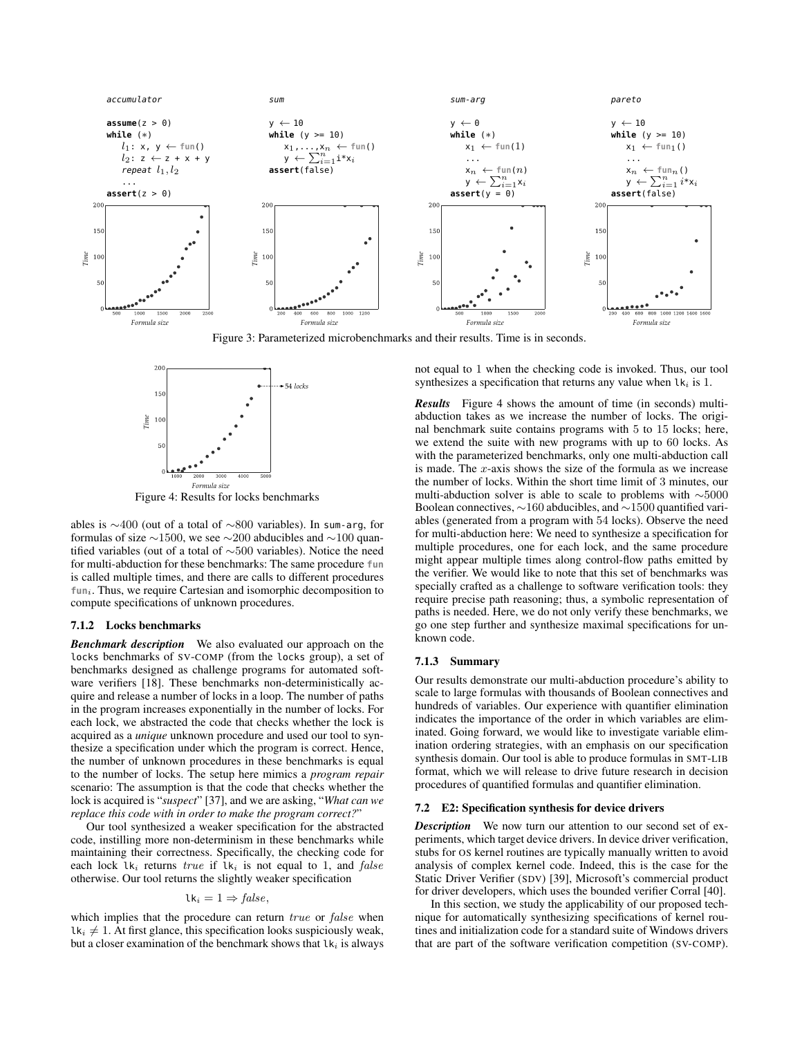

Figure 3: Parameterized microbenchmarks and their results. Time is in seconds.



Figure 4: Results for locks benchmarks

ables is ∼400 (out of a total of ∼800 variables). In sum-arg, for formulas of size  $\sim$ 1500, we see  $\sim$ 200 abducibles and  $\sim$ 100 quantified variables (out of a total of ∼500 variables). Notice the need for multi-abduction for these benchmarks: The same procedure **fun** is called multiple times, and there are calls to different procedures fun<sub>i</sub>. Thus, we require Cartesian and isomorphic decomposition to compute specifications of unknown procedures.

#### 7.1.2 Locks benchmarks

*Benchmark description* We also evaluated our approach on the locks benchmarks of SV-COMP (from the locks group), a set of benchmarks designed as challenge programs for automated software verifiers [18]. These benchmarks non-deterministically acquire and release a number of locks in a loop. The number of paths in the program increases exponentially in the number of locks. For each lock, we abstracted the code that checks whether the lock is acquired as a *unique* unknown procedure and used our tool to synthesize a specification under which the program is correct. Hence, the number of unknown procedures in these benchmarks is equal to the number of locks. The setup here mimics a *program repair* scenario: The assumption is that the code that checks whether the lock is acquired is "*suspect*" [37], and we are asking, "*What can we replace this code with in order to make the program correct?*"

Our tool synthesized a weaker specification for the abstracted code, instilling more non-determinism in these benchmarks while maintaining their correctness. Specifically, the checking code for each lock  $lk_i$  returns true if  $lk_i$  is not equal to 1, and false otherwise. Our tool returns the slightly weaker specification

$$
lk_i = 1 \Rightarrow false,
$$

which implies that the procedure can return true or false when  $lk_i \neq 1$ . At first glance, this specification looks suspiciously weak, but a closer examination of the benchmark shows that  $lk_i$  is always not equal to 1 when the checking code is invoked. Thus, our tool synthesizes a specification that returns any value when  $lk_i$  is 1.

*Results* Figure 4 shows the amount of time (in seconds) multiabduction takes as we increase the number of locks. The original benchmark suite contains programs with 5 to 15 locks; here, we extend the suite with new programs with up to 60 locks. As with the parameterized benchmarks, only one multi-abduction call is made. The  $x$ -axis shows the size of the formula as we increase the number of locks. Within the short time limit of 3 minutes, our multi-abduction solver is able to scale to problems with ∼5000 Boolean connectives, ∼160 abducibles, and ∼1500 quantified variables (generated from a program with 54 locks). Observe the need for multi-abduction here: We need to synthesize a specification for multiple procedures, one for each lock, and the same procedure might appear multiple times along control-flow paths emitted by the verifier. We would like to note that this set of benchmarks was specially crafted as a challenge to software verification tools: they require precise path reasoning; thus, a symbolic representation of paths is needed. Here, we do not only verify these benchmarks, we go one step further and synthesize maximal specifications for unknown code.

#### 7.1.3 Summary

Our results demonstrate our multi-abduction procedure's ability to scale to large formulas with thousands of Boolean connectives and hundreds of variables. Our experience with quantifier elimination indicates the importance of the order in which variables are eliminated. Going forward, we would like to investigate variable elimination ordering strategies, with an emphasis on our specification synthesis domain. Our tool is able to produce formulas in SMT-LIB format, which we will release to drive future research in decision procedures of quantified formulas and quantifier elimination.

#### 7.2 E2: Specification synthesis for device drivers

*Description* We now turn our attention to our second set of experiments, which target device drivers. In device driver verification, stubs for OS kernel routines are typically manually written to avoid analysis of complex kernel code. Indeed, this is the case for the Static Driver Verifier (SDV) [39], Microsoft's commercial product for driver developers, which uses the bounded verifier Corral [40].

In this section, we study the applicability of our proposed technique for automatically synthesizing specifications of kernel routines and initialization code for a standard suite of Windows drivers that are part of the software verification competition (SV-COMP).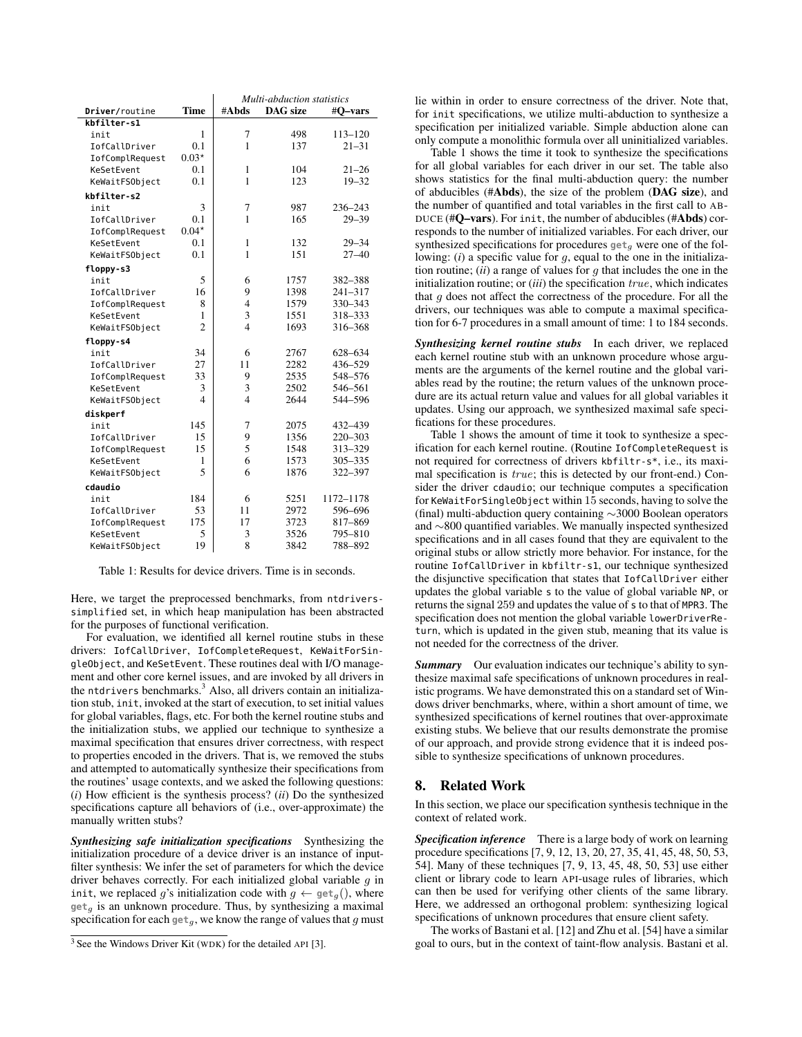|                 |                | Multi-abduction statistics |                 |             |
|-----------------|----------------|----------------------------|-----------------|-------------|
| Driver/routine  | Time           | #Abds                      | <b>DAG</b> size | #O-vars     |
| kbfilter-s1     |                |                            |                 |             |
| init            | $\mathbf{1}$   | 7                          | 498             | 113-120     |
| IofCallDriver   | 0.1            | $\mathbf{1}$               | 137             | $21 - 31$   |
| IofComplRequest | $0.03*$        |                            |                 |             |
| KeSetEvent      | 0.1            | $\mathbf{1}$               | 104             | $21 - 26$   |
| KeWaitFSObject  | 0.1            | 1                          | 123             | $19 - 32$   |
| kbfilter-s2     |                |                            |                 |             |
| init            | 3              | 7                          | 987             | 236-243     |
| IofCallDriver   | 0.1            | $\mathbf{1}$               | 165             | $29 - 39$   |
| IofComplRequest | $0.04*$        |                            |                 |             |
| KeSetEvent      | 0.1            | $\mathbf{1}$               | 132             | $29 - 34$   |
| KeWaitFSObject  | 0.1            | 1                          | 151             | $27 - 40$   |
| floppy-s3       |                |                            |                 |             |
| init            | 5              | 6                          | 1757            | 382-388     |
| IofCallDriver   | 16             | 9                          | 1398            | $241 - 317$ |
| IofComplRequest | 8              | $\overline{4}$             | 1579            | 330-343     |
| KeSetEvent      | 1              | 3                          | 1551            | 318-333     |
| KeWaitFSObject  | $\overline{2}$ | $\overline{\mathcal{L}}$   | 1693            | 316-368     |
| floppy-s4       |                |                            |                 |             |
| init            | 34             | 6                          | 2767            | 628-634     |
| IofCallDriver   | 27             | 11                         | 2282            | 436-529     |
| IofComplRequest | 33             | 9                          | 2535            | 548-576     |
| KeSetEvent      | 3              | 3                          | 2502            | 546-561     |
| KeWaitFSObject  | 4              | $\overline{4}$             | 2644            | 544-596     |
| diskperf        |                |                            |                 |             |
| init            | 145            | 7                          | 2075            | 432-439     |
| IofCallDriver   | 15             | 9                          | 1356            | 220-303     |
| IofComplRequest | 15             | 5                          | 1548            | 313-329     |
| KeSetEvent      | 1              | 6                          | 1573            | 305-335     |
| KeWaitFSObject  | 5              | 6                          | 1876            | 322-397     |
| cdaudio         |                |                            |                 |             |
| init            | 184            | 6                          | 5251            | 1172-1178   |
| IofCallDriver   | 53             | 11                         | 2972            | 596-696     |
| IofComplRequest | 175            | 17                         | 3723            | 817-869     |
| KeSetEvent      | 5              | 3                          | 3526            | 795-810     |
| KeWaitFSObject  | 19             | 8                          | 3842            | 788-892     |

Table 1: Results for device drivers. Time is in seconds.

Here, we target the preprocessed benchmarks, from ntdriverssimplified set, in which heap manipulation has been abstracted for the purposes of functional verification.

For evaluation, we identified all kernel routine stubs in these drivers: IofCallDriver, IofCompleteRequest, KeWaitForSingleObject, and KeSetEvent. These routines deal with I/O management and other core kernel issues, and are invoked by all drivers in the ntdrivers benchmarks.<sup>3</sup> Also, all drivers contain an initialization stub, init, invoked at the start of execution, to set initial values for global variables, flags, etc. For both the kernel routine stubs and the initialization stubs, we applied our technique to synthesize a maximal specification that ensures driver correctness, with respect to properties encoded in the drivers. That is, we removed the stubs and attempted to automatically synthesize their specifications from the routines' usage contexts, and we asked the following questions: (*i*) How efficient is the synthesis process? (*ii*) Do the synthesized specifications capture all behaviors of (i.e., over-approximate) the manually written stubs?

*Synthesizing safe initialization specifications* Synthesizing the initialization procedure of a device driver is an instance of inputfilter synthesis: We infer the set of parameters for which the device driver behaves correctly. For each initialized global variable  $g$  in init, we replaced g's initialization code with  $g \leftarrow \text{get}_g()$ , where **get**<sup>g</sup> is an unknown procedure. Thus, by synthesizing a maximal specification for each  $get_q$ , we know the range of values that g must lie within in order to ensure correctness of the driver. Note that, for init specifications, we utilize multi-abduction to synthesize a specification per initialized variable. Simple abduction alone can only compute a monolithic formula over all uninitialized variables.

Table 1 shows the time it took to synthesize the specifications for all global variables for each driver in our set. The table also shows statistics for the final multi-abduction query: the number of abducibles (#Abds), the size of the problem (DAG size), and the number of quantified and total variables in the first call to AB-DUCE (#Q–vars). For init, the number of abducibles (#Abds) corresponds to the number of initialized variables. For each driver, our synthesized specifications for procedures  $\mathbf{get}_g$  were one of the following: (*i*) a specific value for g, equal to the one in the initialization routine; (*ii*) a range of values for g that includes the one in the initialization routine; or (*iii*) the specification true, which indicates that  $g$  does not affect the correctness of the procedure. For all the drivers, our techniques was able to compute a maximal specification for 6-7 procedures in a small amount of time: 1 to 184 seconds.

*Synthesizing kernel routine stubs* In each driver, we replaced each kernel routine stub with an unknown procedure whose arguments are the arguments of the kernel routine and the global variables read by the routine; the return values of the unknown procedure are its actual return value and values for all global variables it updates. Using our approach, we synthesized maximal safe specifications for these procedures.

Table 1 shows the amount of time it took to synthesize a specification for each kernel routine. (Routine IofCompleteRequest is not required for correctness of drivers kbfiltr-s\*, i.e., its maximal specification is true; this is detected by our front-end.) Consider the driver cdaudio; our technique computes a specification for KeWaitForSingleObject within 15 seconds, having to solve the (final) multi-abduction query containing ∼3000 Boolean operators and ∼800 quantified variables. We manually inspected synthesized specifications and in all cases found that they are equivalent to the original stubs or allow strictly more behavior. For instance, for the routine IofCallDriver in kbfiltr-s1, our technique synthesized the disjunctive specification that states that IofCallDriver either updates the global variable s to the value of global variable NP, or returns the signal 259 and updates the value of s to that of MPR3. The specification does not mention the global variable lowerDriverReturn, which is updated in the given stub, meaning that its value is not needed for the correctness of the driver.

**Summary** Our evaluation indicates our technique's ability to synthesize maximal safe specifications of unknown procedures in realistic programs. We have demonstrated this on a standard set of Windows driver benchmarks, where, within a short amount of time, we synthesized specifications of kernel routines that over-approximate existing stubs. We believe that our results demonstrate the promise of our approach, and provide strong evidence that it is indeed possible to synthesize specifications of unknown procedures.

# 8. Related Work

In this section, we place our specification synthesis technique in the context of related work.

*Specification inference* There is a large body of work on learning procedure specifications [7, 9, 12, 13, 20, 27, 35, 41, 45, 48, 50, 53, 54]. Many of these techniques [7, 9, 13, 45, 48, 50, 53] use either client or library code to learn API-usage rules of libraries, which can then be used for verifying other clients of the same library. Here, we addressed an orthogonal problem: synthesizing logical specifications of unknown procedures that ensure client safety.

The works of Bastani et al. [12] and Zhu et al. [54] have a similar goal to ours, but in the context of taint-flow analysis. Bastani et al.

<sup>3</sup> See the Windows Driver Kit (WDK) for the detailed API [3].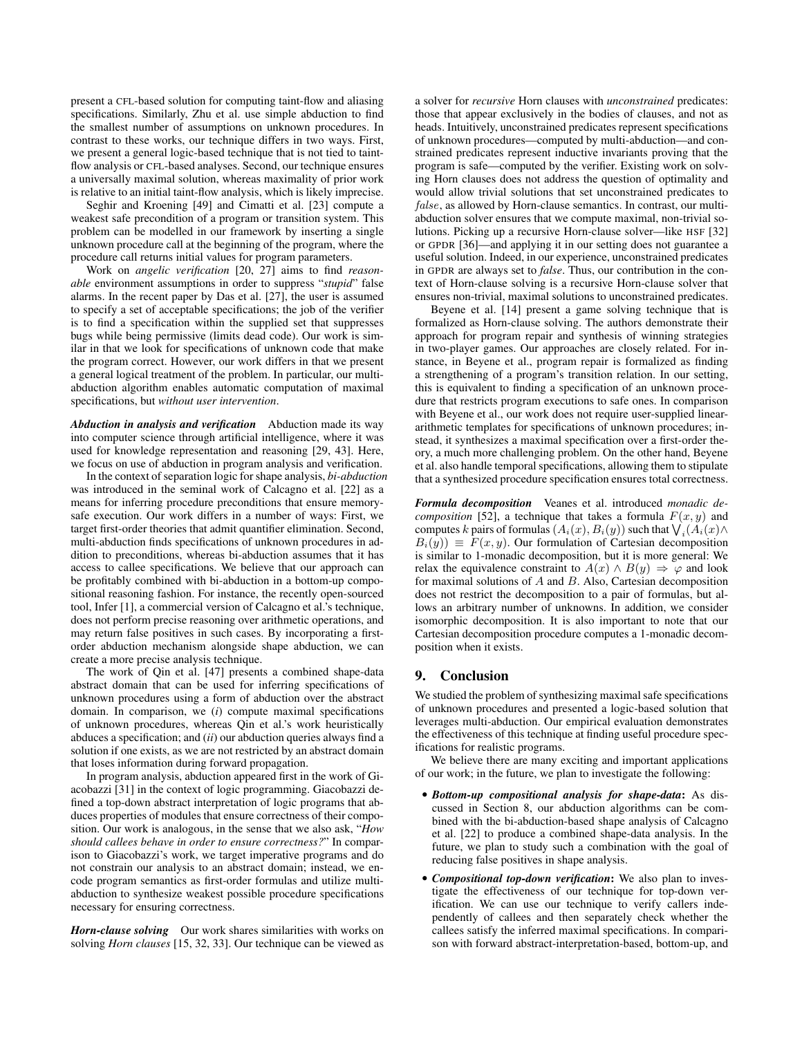present a CFL-based solution for computing taint-flow and aliasing specifications. Similarly, Zhu et al. use simple abduction to find the smallest number of assumptions on unknown procedures. In contrast to these works, our technique differs in two ways. First, we present a general logic-based technique that is not tied to taintflow analysis or CFL-based analyses. Second, our technique ensures a universally maximal solution, whereas maximality of prior work is relative to an initial taint-flow analysis, which is likely imprecise.

Seghir and Kroening [49] and Cimatti et al. [23] compute a weakest safe precondition of a program or transition system. This problem can be modelled in our framework by inserting a single unknown procedure call at the beginning of the program, where the procedure call returns initial values for program parameters.

Work on *angelic verification* [20, 27] aims to find *reasonable* environment assumptions in order to suppress "*stupid*" false alarms. In the recent paper by Das et al. [27], the user is assumed to specify a set of acceptable specifications; the job of the verifier is to find a specification within the supplied set that suppresses bugs while being permissive (limits dead code). Our work is similar in that we look for specifications of unknown code that make the program correct. However, our work differs in that we present a general logical treatment of the problem. In particular, our multiabduction algorithm enables automatic computation of maximal specifications, but *without user intervention*.

*Abduction in analysis and verification* Abduction made its way into computer science through artificial intelligence, where it was used for knowledge representation and reasoning [29, 43]. Here, we focus on use of abduction in program analysis and verification.

In the context of separation logic for shape analysis, *bi-abduction* was introduced in the seminal work of Calcagno et al. [22] as a means for inferring procedure preconditions that ensure memorysafe execution. Our work differs in a number of ways: First, we target first-order theories that admit quantifier elimination. Second, multi-abduction finds specifications of unknown procedures in addition to preconditions, whereas bi-abduction assumes that it has access to callee specifications. We believe that our approach can be profitably combined with bi-abduction in a bottom-up compositional reasoning fashion. For instance, the recently open-sourced tool, Infer [1], a commercial version of Calcagno et al.'s technique, does not perform precise reasoning over arithmetic operations, and may return false positives in such cases. By incorporating a firstorder abduction mechanism alongside shape abduction, we can create a more precise analysis technique.

The work of Qin et al. [47] presents a combined shape-data abstract domain that can be used for inferring specifications of unknown procedures using a form of abduction over the abstract domain. In comparison, we (*i*) compute maximal specifications of unknown procedures, whereas Qin et al.'s work heuristically abduces a specification; and (*ii*) our abduction queries always find a solution if one exists, as we are not restricted by an abstract domain that loses information during forward propagation.

In program analysis, abduction appeared first in the work of Giacobazzi [31] in the context of logic programming. Giacobazzi defined a top-down abstract interpretation of logic programs that abduces properties of modules that ensure correctness of their composition. Our work is analogous, in the sense that we also ask, "*How should callees behave in order to ensure correctness?*" In comparison to Giacobazzi's work, we target imperative programs and do not constrain our analysis to an abstract domain; instead, we encode program semantics as first-order formulas and utilize multiabduction to synthesize weakest possible procedure specifications necessary for ensuring correctness.

*Horn-clause solving* Our work shares similarities with works on solving *Horn clauses* [15, 32, 33]. Our technique can be viewed as a solver for *recursive* Horn clauses with *unconstrained* predicates: those that appear exclusively in the bodies of clauses, and not as heads. Intuitively, unconstrained predicates represent specifications of unknown procedures—computed by multi-abduction—and constrained predicates represent inductive invariants proving that the program is safe—computed by the verifier. Existing work on solving Horn clauses does not address the question of optimality and would allow trivial solutions that set unconstrained predicates to false, as allowed by Horn-clause semantics. In contrast, our multiabduction solver ensures that we compute maximal, non-trivial solutions. Picking up a recursive Horn-clause solver—like HSF [32] or GPDR [36]—and applying it in our setting does not guarantee a useful solution. Indeed, in our experience, unconstrained predicates in GPDR are always set to *false*. Thus, our contribution in the context of Horn-clause solving is a recursive Horn-clause solver that ensures non-trivial, maximal solutions to unconstrained predicates.

Beyene et al. [14] present a game solving technique that is formalized as Horn-clause solving. The authors demonstrate their approach for program repair and synthesis of winning strategies in two-player games. Our approaches are closely related. For instance, in Beyene et al., program repair is formalized as finding a strengthening of a program's transition relation. In our setting, this is equivalent to finding a specification of an unknown procedure that restricts program executions to safe ones. In comparison with Beyene et al., our work does not require user-supplied lineararithmetic templates for specifications of unknown procedures; instead, it synthesizes a maximal specification over a first-order theory, a much more challenging problem. On the other hand, Beyene et al. also handle temporal specifications, allowing them to stipulate that a synthesized procedure specification ensures total correctness.

*Formula decomposition* Veanes et al. introduced *monadic decomposition* [52], a technique that takes a formula  $F(x, y)$  and computes  $k$  pairs of formulas  $(A_i(x), B_i(y))$  such that  $\bigvee_i (A_i(x) \wedge$  $B_i(y) \equiv F(x, y)$ . Our formulation of Cartesian decomposition is similar to 1-monadic decomposition, but it is more general: We relax the equivalence constraint to  $A(x) \wedge B(y) \Rightarrow \varphi$  and look for maximal solutions of  $A$  and  $B$ . Also, Cartesian decomposition does not restrict the decomposition to a pair of formulas, but allows an arbitrary number of unknowns. In addition, we consider isomorphic decomposition. It is also important to note that our Cartesian decomposition procedure computes a 1-monadic decomposition when it exists.

# 9. Conclusion

We studied the problem of synthesizing maximal safe specifications of unknown procedures and presented a logic-based solution that leverages multi-abduction. Our empirical evaluation demonstrates the effectiveness of this technique at finding useful procedure specifications for realistic programs.

We believe there are many exciting and important applications of our work; in the future, we plan to investigate the following:

- *Bottom-up compositional analysis for shape-data*: As discussed in Section 8, our abduction algorithms can be combined with the bi-abduction-based shape analysis of Calcagno et al. [22] to produce a combined shape-data analysis. In the future, we plan to study such a combination with the goal of reducing false positives in shape analysis.
- *Compositional top-down verification*: We also plan to investigate the effectiveness of our technique for top-down verification. We can use our technique to verify callers independently of callees and then separately check whether the callees satisfy the inferred maximal specifications. In comparison with forward abstract-interpretation-based, bottom-up, and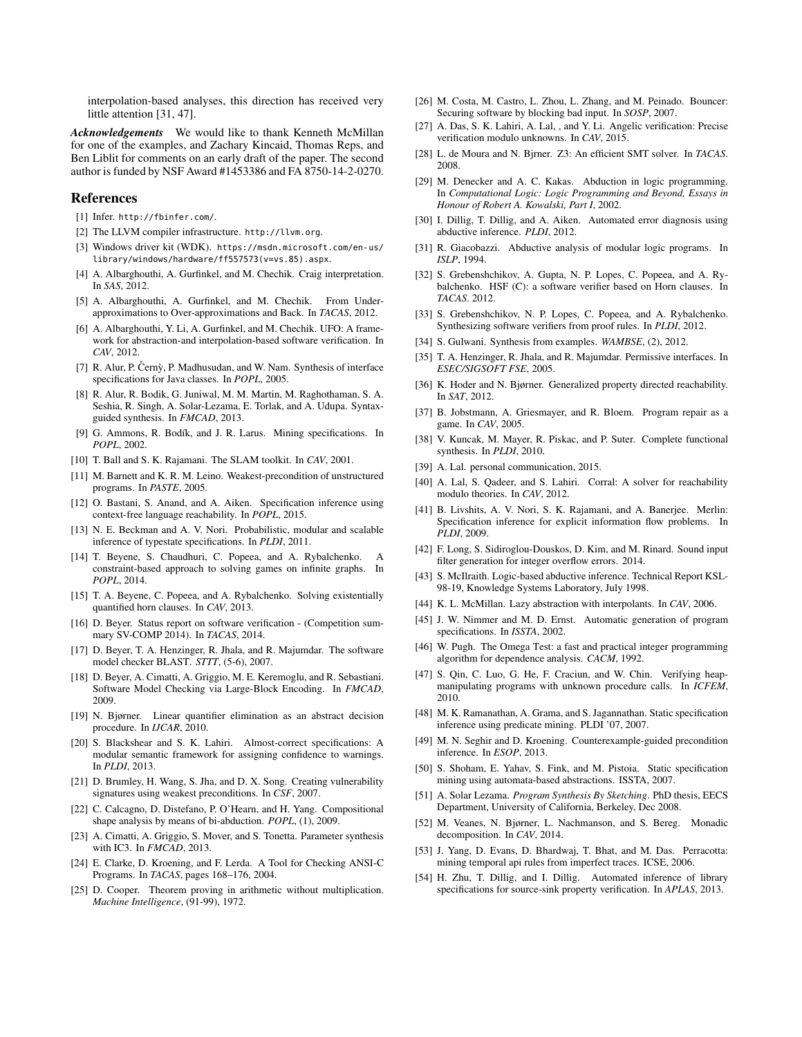interpolation-based analyses, this direction has received very little attention [31, 47].

*Acknowledgements* We would like to thank Kenneth McMillan for one of the examples, and Zachary Kincaid, Thomas Reps, and Ben Liblit for comments on an early draft of the paper. The second author is funded by NSF Award #1453386 and FA 8750-14-2-0270.

## References

- [1] Infer. http://fbinfer.com/.
- [2] The LLVM compiler infrastructure. http://llvm.org.
- [3] Windows driver kit (WDK). https://msdn.microsoft.com/en-us/ library/windows/hardware/ff557573(v=vs.85).aspx.
- [4] A. Albarghouthi, A. Gurfinkel, and M. Chechik. Craig interpretation. In *SAS*, 2012.
- [5] A. Albarghouthi, A. Gurfinkel, and M. Chechik. From Underapproximations to Over-approximations and Back. In *TACAS*, 2012.
- [6] A. Albarghouthi, Y. Li, A. Gurfinkel, and M. Chechik. UFO: A framework for abstraction-and interpolation-based software verification. In *CAV*, 2012.
- [7] R. Alur, P. Černỳ, P. Madhusudan, and W. Nam. Synthesis of interface specifications for Java classes. In *POPL*, 2005.
- [8] R. Alur, R. Bodik, G. Juniwal, M. M. Martin, M. Raghothaman, S. A. Seshia, R. Singh, A. Solar-Lezama, E. Torlak, and A. Udupa. Syntaxguided synthesis. In *FMCAD*, 2013.
- [9] G. Ammons, R. Bodík, and J. R. Larus. Mining specifications. In *POPL*, 2002.
- [10] T. Ball and S. K. Rajamani. The SLAM toolkit. In *CAV*, 2001.
- [11] M. Barnett and K. R. M. Leino. Weakest-precondition of unstructured programs. In *PASTE*, 2005.
- [12] O. Bastani, S. Anand, and A. Aiken. Specification inference using context-free language reachability. In *POPL*, 2015.
- [13] N. E. Beckman and A. V. Nori. Probabilistic, modular and scalable inference of typestate specifications. In *PLDI*, 2011.
- [14] T. Beyene, S. Chaudhuri, C. Popeea, and A. Rybalchenko. A constraint-based approach to solving games on infinite graphs. In *POPL*, 2014.
- [15] T. A. Beyene, C. Popeea, and A. Rybalchenko. Solving existentially quantified horn clauses. In *CAV*, 2013.
- [16] D. Beyer. Status report on software verification (Competition summary SV-COMP 2014). In *TACAS*, 2014.
- [17] D. Beyer, T. A. Henzinger, R. Jhala, and R. Majumdar. The software model checker BLAST. *STTT*, (5-6), 2007.
- [18] D. Beyer, A. Cimatti, A. Griggio, M. E. Keremoglu, and R. Sebastiani. Software Model Checking via Large-Block Encoding. In *FMCAD*, 2009.
- [19] N. Bjørner. Linear quantifier elimination as an abstract decision procedure. In *IJCAR*, 2010.
- [20] S. Blackshear and S. K. Lahiri. Almost-correct specifications: A modular semantic framework for assigning confidence to warnings. In *PLDI*, 2013.
- [21] D. Brumley, H. Wang, S. Jha, and D. X. Song. Creating vulnerability signatures using weakest preconditions. In *CSF*, 2007.
- [22] C. Calcagno, D. Distefano, P. O'Hearn, and H. Yang. Compositional shape analysis by means of bi-abduction. *POPL*, (1), 2009.
- [23] A. Cimatti, A. Griggio, S. Mover, and S. Tonetta. Parameter synthesis with IC3. In *FMCAD*, 2013.
- [24] E. Clarke, D. Kroening, and F. Lerda. A Tool for Checking ANSI-C Programs. In *TACAS*, pages 168–176, 2004.
- [25] D. Cooper. Theorem proving in arithmetic without multiplication. *Machine Intelligence*, (91-99), 1972.
- [26] M. Costa, M. Castro, L. Zhou, L. Zhang, and M. Peinado. Bouncer: Securing software by blocking bad input. In *SOSP*, 2007.
- [27] A. Das, S. K. Lahiri, A. Lal, , and Y. Li. Angelic verification: Precise verification modulo unknowns. In *CAV*, 2015.
- [28] L. de Moura and N. Bjrner. Z3: An efficient SMT solver. In *TACAS*. 2008.
- [29] M. Denecker and A. C. Kakas. Abduction in logic programming. In *Computational Logic: Logic Programming and Beyond, Essays in Honour of Robert A. Kowalski, Part I*, 2002.
- [30] I. Dillig, T. Dillig, and A. Aiken. Automated error diagnosis using abductive inference. *PLDI*, 2012.
- [31] R. Giacobazzi. Abductive analysis of modular logic programs. In *ISLP*, 1994.
- [32] S. Grebenshchikov, A. Gupta, N. P. Lopes, C. Popeea, and A. Rybalchenko. HSF (C): a software verifier based on Horn clauses. In *TACAS*. 2012.
- [33] S. Grebenshchikov, N. P. Lopes, C. Popeea, and A. Rybalchenko. Synthesizing software verifiers from proof rules. In *PLDI*, 2012.
- [34] S. Gulwani. Synthesis from examples. *WAMBSE*, (2), 2012.
- [35] T. A. Henzinger, R. Jhala, and R. Majumdar. Permissive interfaces. In *ESEC/SIGSOFT FSE*, 2005.
- [36] K. Hoder and N. Bjørner. Generalized property directed reachability. In *SAT*, 2012.
- [37] B. Jobstmann, A. Griesmayer, and R. Bloem. Program repair as a game. In *CAV*, 2005.
- [38] V. Kuncak, M. Mayer, R. Piskac, and P. Suter. Complete functional synthesis. In *PLDI*, 2010.
- [39] A. Lal. personal communication, 2015.
- [40] A. Lal, S. Qadeer, and S. Lahiri. Corral: A solver for reachability modulo theories. In *CAV*, 2012.
- [41] B. Livshits, A. V. Nori, S. K. Rajamani, and A. Banerjee. Merlin: Specification inference for explicit information flow problems. In *PLDI*, 2009.
- [42] F. Long, S. Sidiroglou-Douskos, D. Kim, and M. Rinard. Sound input filter generation for integer overflow errors. 2014.
- [43] S. McIlraith. Logic-based abductive inference. Technical Report KSL-98-19, Knowledge Systems Laboratory, July 1998.
- [44] K. L. McMillan. Lazy abstraction with interpolants. In *CAV*, 2006.
- [45] J. W. Nimmer and M. D. Ernst. Automatic generation of program specifications. In *ISSTA*, 2002.
- [46] W. Pugh. The Omega Test: a fast and practical integer programming algorithm for dependence analysis. *CACM*, 1992.
- [47] S. Qin, C. Luo, G. He, F. Craciun, and W. Chin. Verifying heapmanipulating programs with unknown procedure calls. In *ICFEM*, 2010.
- [48] M. K. Ramanathan, A. Grama, and S. Jagannathan. Static specification inference using predicate mining. PLDI '07, 2007.
- [49] M. N. Seghir and D. Kroening. Counterexample-guided precondition inference. In *ESOP*, 2013.
- [50] S. Shoham, E. Yahav, S. Fink, and M. Pistoia. Static specification mining using automata-based abstractions. ISSTA, 2007.
- [51] A. Solar Lezama. *Program Synthesis By Sketching*. PhD thesis, EECS Department, University of California, Berkeley, Dec 2008.
- [52] M. Veanes, N. Bjørner, L. Nachmanson, and S. Bereg. Monadic decomposition. In *CAV*, 2014.
- [53] J. Yang, D. Evans, D. Bhardwaj, T. Bhat, and M. Das. Perracotta: mining temporal api rules from imperfect traces. ICSE, 2006.
- [54] H. Zhu, T. Dillig, and I. Dillig. Automated inference of library specifications for source-sink property verification. In *APLAS*, 2013.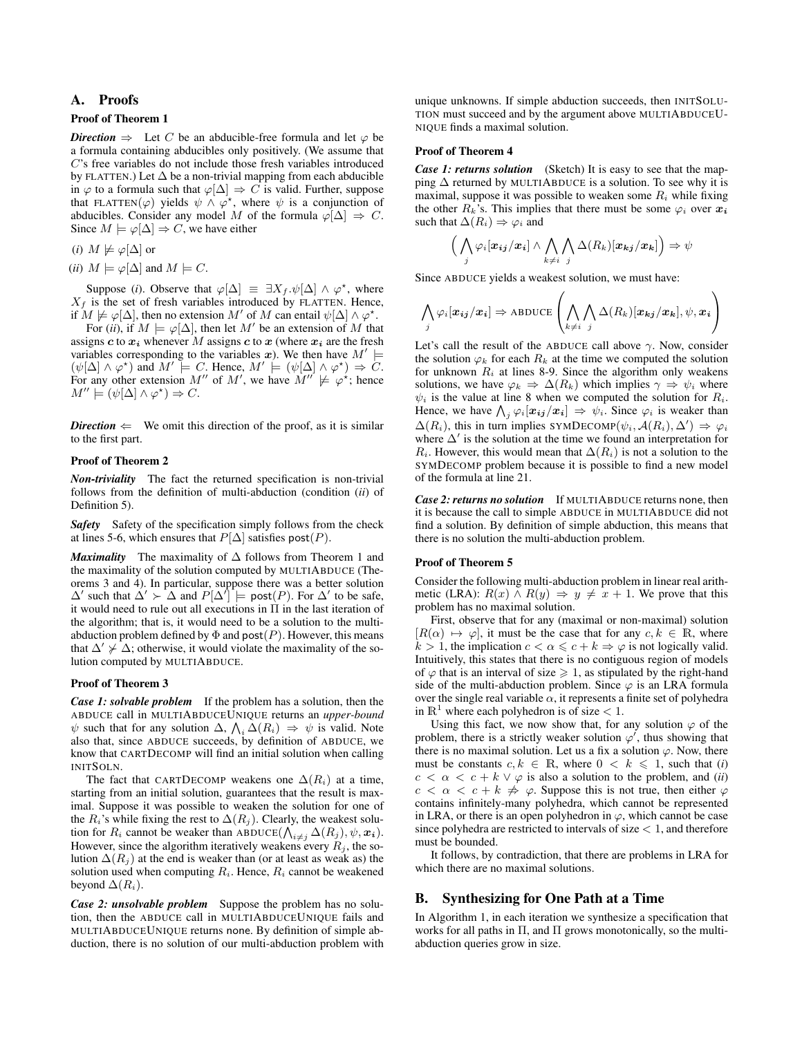# A. Proofs

#### Proof of Theorem 1

*Direction*  $\Rightarrow$  Let C be an abducible-free formula and let  $\varphi$  be a formula containing abducibles only positively. (We assume that C's free variables do not include those fresh variables introduced by FLATTEN.) Let  $\Delta$  be a non-trivial mapping from each abducible in  $\varphi$  to a formula such that  $\varphi[\Delta] \Rightarrow C$  is valid. Further, suppose that FLATTEN( $\varphi$ ) yields  $\psi \wedge \varphi^*$ , where  $\psi$  is a conjunction of abducibles. Consider any model M of the formula  $\varphi[\Delta] \Rightarrow C$ . Since  $M \models \varphi[\Delta] \Rightarrow C$ , we have either

(*i*)  $M \not\models \varphi[\Delta]$  or

(*ii*)  $M \models \varphi[\Delta]$  and  $M \models C$ .

Suppose (*i*). Observe that  $\varphi[\Delta] \equiv \exists X_f. \psi[\Delta] \wedge \varphi^*$ , where  $X_f$  is the set of fresh variables introduced by FLATTEN. Hence, if  $M \not\models \varphi[\Delta]$ , then no extension M' of M can entail  $\psi[\Delta] \wedge \varphi^*$ .

For (*ii*), if  $M \models \varphi[\Delta]$ , then let M' be an extension of M that assigns c to  $x_i$  whenever M assigns c to x (where  $x_i$  are the fresh variables corresponding to the variables x). We then have  $M' \models$  $(\psi[\Delta] \wedge \varphi^*)$  and  $M' \models C$ . Hence,  $M' \models (\psi[\Delta] \wedge \varphi^*) \Rightarrow C$ . For any other extension M'' of M', we have  $M'' \not\models \varphi^*$ ; hence  $M'' \models (\psi[\Delta] \land \varphi^*) \Rightarrow C.$ 

*Direction*  $\Leftarrow$  We omit this direction of the proof, as it is similar to the first part.

# Proof of Theorem 2

*Non-triviality* The fact the returned specification is non-trivial follows from the definition of multi-abduction (condition (*ii*) of Definition 5).

*Safety* Safety of the specification simply follows from the check at lines 5-6, which ensures that  $P[\Delta]$  satisfies post(P).

*Maximality* The maximality of ∆ follows from Theorem 1 and the maximality of the solution computed by MULTIABDUCE (Theorems 3 and 4). In particular, suppose there was a better solution  $\Delta'$  such that  $\Delta' \succ \Delta$  and  $P[\Delta'] \models \text{post}(P)$ . For  $\Delta'$  to be safe, it would need to rule out all executions in  $\Pi$  in the last iteration of the algorithm; that is, it would need to be a solution to the multiabduction problem defined by  $\Phi$  and post(P). However, this means that  $\Delta' \nsucc \Delta$ ; otherwise, it would violate the maximality of the solution computed by MULTIABDUCE.

#### Proof of Theorem 3

*Case 1: solvable problem* If the problem has a solution, then the ABDUCE call in MULTIABDUCEUNIQUE returns an *upper-bound*  $\psi$  such that for any solution  $\Delta$ ,  $\Lambda_i \Delta(R_i) \Rightarrow \psi$  is valid. Note also that, since ABDUCE succeeds, by definition of ABDUCE, we know that CARTDECOMP will find an initial solution when calling INITSOLN.

The fact that CARTDECOMP weakens one  $\Delta(R_i)$  at a time, starting from an initial solution, guarantees that the result is maximal. Suppose it was possible to weaken the solution for one of the  $R_i$ 's while fixing the rest to  $\Delta(R_j)$ . Clearly, the weakest solution for  $R_i$  cannot be weaker than ABDUCE( $\bigwedge_{i \neq j} \Delta(R_j), \psi, \mathbf{x_i}$ ). However, since the algorithm iteratively weakens every  $R_i$ , the solution  $\Delta(R_i)$  at the end is weaker than (or at least as weak as) the solution used when computing  $R_i$ . Hence,  $R_i$  cannot be weakened beyond  $\Delta(R_i)$ .

*Case 2: unsolvable problem* Suppose the problem has no solution, then the ABDUCE call in MULTIABDUCEUNIQUE fails and MULTIABDUCEUNIQUE returns none. By definition of simple abduction, there is no solution of our multi-abduction problem with unique unknowns. If simple abduction succeeds, then INITSOLU-TION must succeed and by the argument above MULTIABDUCEU-NIQUE finds a maximal solution.

# Proof of Theorem 4

*Case 1: returns solution* (Sketch) It is easy to see that the mapping  $\Delta$  returned by MULTIABDUCE is a solution. To see why it is maximal, suppose it was possible to weaken some  $R_i$  while fixing the other  $R_k$ 's. This implies that there must be some  $\varphi_i$  over  $x_i$ such that  $\Delta(R_i) \Rightarrow \varphi_i$  and

$$
\left(\bigwedge_j \varphi_i[\boldsymbol{x_{ij}}/\boldsymbol{x_i}] \wedge \bigwedge_{k \neq i} \bigwedge_j \Delta(R_k)[\boldsymbol{x_{kj}}/\boldsymbol{x_k}]\right) \Rightarrow \psi
$$

Since ABDUCE yields a weakest solution, we must have:

$$
\bigwedge_j \varphi_i[\boldsymbol{x_{ij}}/\boldsymbol{x_i}] \Rightarrow \text{ABDUCE}\left(\bigwedge_{k \neq i} \bigwedge_j \Delta(R_k)[\boldsymbol{x_{kj}}/\boldsymbol{x_k}], \psi, \boldsymbol{x_i}\right)
$$

Let's call the result of the ABDUCE call above  $\gamma$ . Now, consider the solution  $\varphi_k$  for each  $R_k$  at the time we computed the solution for unknown  $R_i$  at lines 8-9. Since the algorithm only weakens solutions, we have  $\varphi_k \Rightarrow \Delta(R_k)$  which implies  $\gamma \Rightarrow \psi_i$  where  $\psi_i$  is the value at line 8 when we computed the solution for  $R_i$ . Hence, we have  $\bigwedge_j \varphi_i[\boldsymbol{x_{ij}}/\boldsymbol{x_i}] \Rightarrow \psi_i$ . Since  $\varphi_i$  is weaker than  $\Delta(R_i)$ , this in turn implies SYMDECOMP $(\psi_i, \mathcal{A}(R_i), \Delta') \Rightarrow \varphi_i$ where  $\Delta'$  is the solution at the time we found an interpretation for  $R_i$ . However, this would mean that  $\Delta(R_i)$  is not a solution to the SYMDECOMP problem because it is possible to find a new model of the formula at line 21.

*Case 2: returns no solution* If MULTIABDUCE returns none, then it is because the call to simple ABDUCE in MULTIABDUCE did not find a solution. By definition of simple abduction, this means that there is no solution the multi-abduction problem.

#### Proof of Theorem 5

Consider the following multi-abduction problem in linear real arithmetic (LRA):  $R(x) \wedge R(y) \Rightarrow y \neq x + 1$ . We prove that this problem has no maximal solution.

First, observe that for any (maximal or non-maximal) solution  $[R(\alpha) \mapsto \varphi]$ , it must be the case that for any  $c, k \in \mathbb{R}$ , where  $k > 1$ , the implication  $c < \alpha \leq c + k \Rightarrow \varphi$  is not logically valid. Intuitively, this states that there is no contiguous region of models of  $\varphi$  that is an interval of size  $\geq 1$ , as stipulated by the right-hand side of the multi-abduction problem. Since  $\varphi$  is an LRA formula over the single real variable  $\alpha$ , it represents a finite set of polyhedra in  $\mathbb{R}^1$  where each polyhedron is of size  $< 1$ .

Using this fact, we now show that, for any solution  $\varphi$  of the problem, there is a strictly weaker solution  $\varphi'$ , thus showing that there is no maximal solution. Let us a fix a solution  $\varphi$ . Now, there must be constants  $c, k \in \mathbb{R}$ , where  $0 \lt k \leq 1$ , such that (*i*)  $c < \alpha < c + k \vee \varphi$  is also a solution to the problem, and *(ii)*  $c < \alpha < c + k \nRightarrow \varphi$ . Suppose this is not true, then either  $\varphi$ contains infinitely-many polyhedra, which cannot be represented in LRA, or there is an open polyhedron in  $\varphi$ , which cannot be case since polyhedra are restricted to intervals of size  $< 1$ , and therefore must be bounded.

It follows, by contradiction, that there are problems in LRA for which there are no maximal solutions.

# B. Synthesizing for One Path at a Time

In Algorithm 1, in each iteration we synthesize a specification that works for all paths in Π, and Π grows monotonically, so the multiabduction queries grow in size.